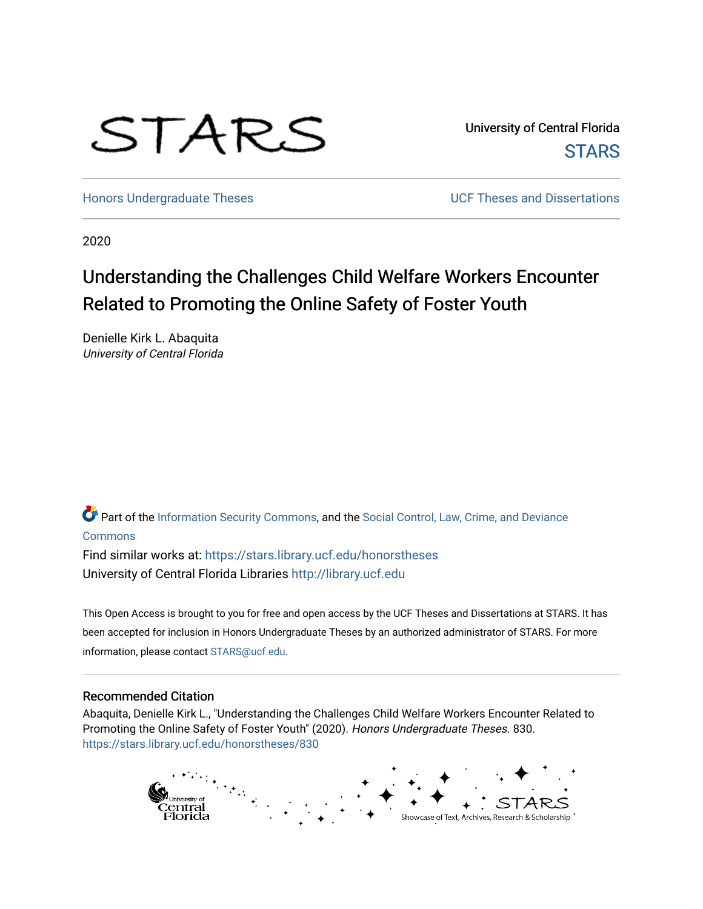# STARS

University of Central Florida **STARS** 

[Honors Undergraduate Theses](https://stars.library.ucf.edu/honorstheses) **No. 2018** UCF Theses and Dissertations

2020

# Understanding the Challenges Child Welfare Workers Encounter Related to Promoting the Online Safety of Foster Youth

Denielle Kirk L. Abaquita University of Central Florida

Part of the [Information Security Commons](http://network.bepress.com/hgg/discipline/1247?utm_source=stars.library.ucf.edu%2Fhonorstheses%2F830&utm_medium=PDF&utm_campaign=PDFCoverPages), and the [Social Control, Law, Crime, and Deviance](http://network.bepress.com/hgg/discipline/429?utm_source=stars.library.ucf.edu%2Fhonorstheses%2F830&utm_medium=PDF&utm_campaign=PDFCoverPages) [Commons](http://network.bepress.com/hgg/discipline/429?utm_source=stars.library.ucf.edu%2Fhonorstheses%2F830&utm_medium=PDF&utm_campaign=PDFCoverPages)

Find similar works at: <https://stars.library.ucf.edu/honorstheses> University of Central Florida Libraries [http://library.ucf.edu](http://library.ucf.edu/) 

This Open Access is brought to you for free and open access by the UCF Theses and Dissertations at STARS. It has been accepted for inclusion in Honors Undergraduate Theses by an authorized administrator of STARS. For more information, please contact [STARS@ucf.edu.](mailto:STARS@ucf.edu)

#### Recommended Citation

Abaquita, Denielle Kirk L., "Understanding the Challenges Child Welfare Workers Encounter Related to Promoting the Online Safety of Foster Youth" (2020). Honors Undergraduate Theses. 830. [https://stars.library.ucf.edu/honorstheses/830](https://stars.library.ucf.edu/honorstheses/830?utm_source=stars.library.ucf.edu%2Fhonorstheses%2F830&utm_medium=PDF&utm_campaign=PDFCoverPages) 

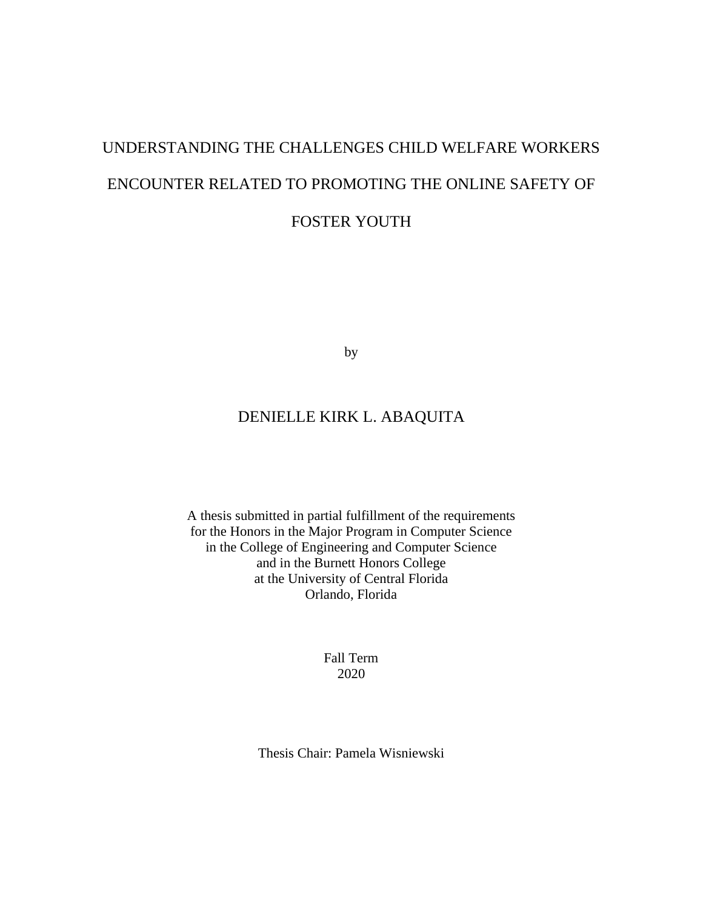# UNDERSTANDING THE CHALLENGES CHILD WELFARE WORKERS ENCOUNTER RELATED TO PROMOTING THE ONLINE SAFETY OF FOSTER YOUTH

by

### DENIELLE KIRK L. ABAQUITA

A thesis submitted in partial fulfillment of the requirements for the Honors in the Major Program in Computer Science in the College of Engineering and Computer Science and in the Burnett Honors College at the University of Central Florida Orlando, Florida

> Fall Term 2020

Thesis Chair: Pamela Wisniewski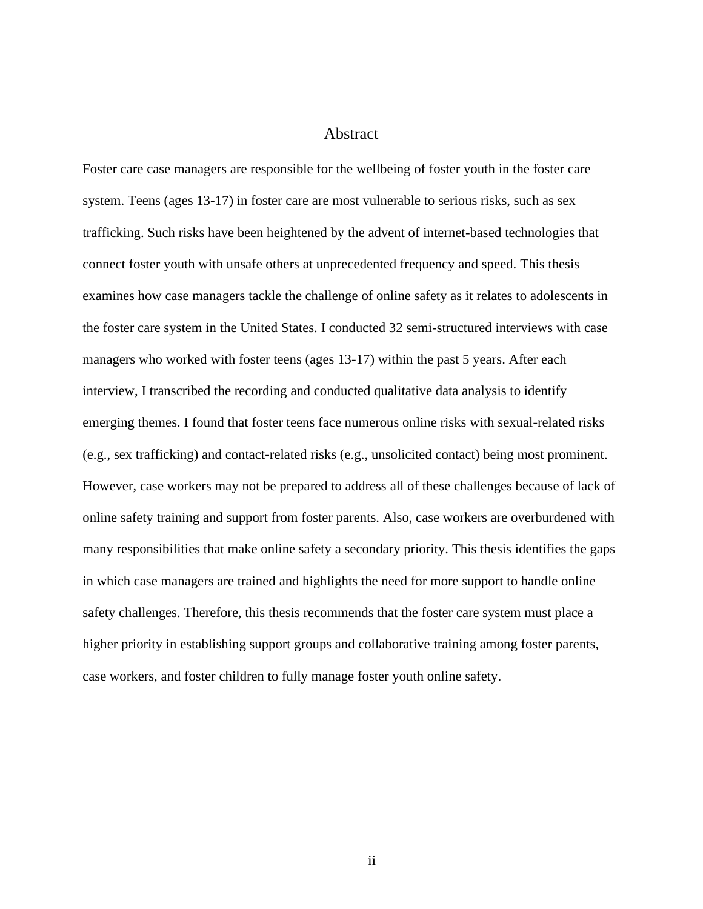#### Abstract

Foster care case managers are responsible for the wellbeing of foster youth in the foster care system. Teens (ages 13-17) in foster care are most vulnerable to serious risks, such as sex trafficking. Such risks have been heightened by the advent of internet-based technologies that connect foster youth with unsafe others at unprecedented frequency and speed. This thesis examines how case managers tackle the challenge of online safety as it relates to adolescents in the foster care system in the United States. I conducted 32 semi-structured interviews with case managers who worked with foster teens (ages 13-17) within the past 5 years. After each interview, I transcribed the recording and conducted qualitative data analysis to identify emerging themes. I found that foster teens face numerous online risks with sexual-related risks (e.g., sex trafficking) and contact-related risks (e.g., unsolicited contact) being most prominent. However, case workers may not be prepared to address all of these challenges because of lack of online safety training and support from foster parents. Also, case workers are overburdened with many responsibilities that make online safety a secondary priority. This thesis identifies the gaps in which case managers are trained and highlights the need for more support to handle online safety challenges. Therefore, this thesis recommends that the foster care system must place a higher priority in establishing support groups and collaborative training among foster parents, case workers, and foster children to fully manage foster youth online safety.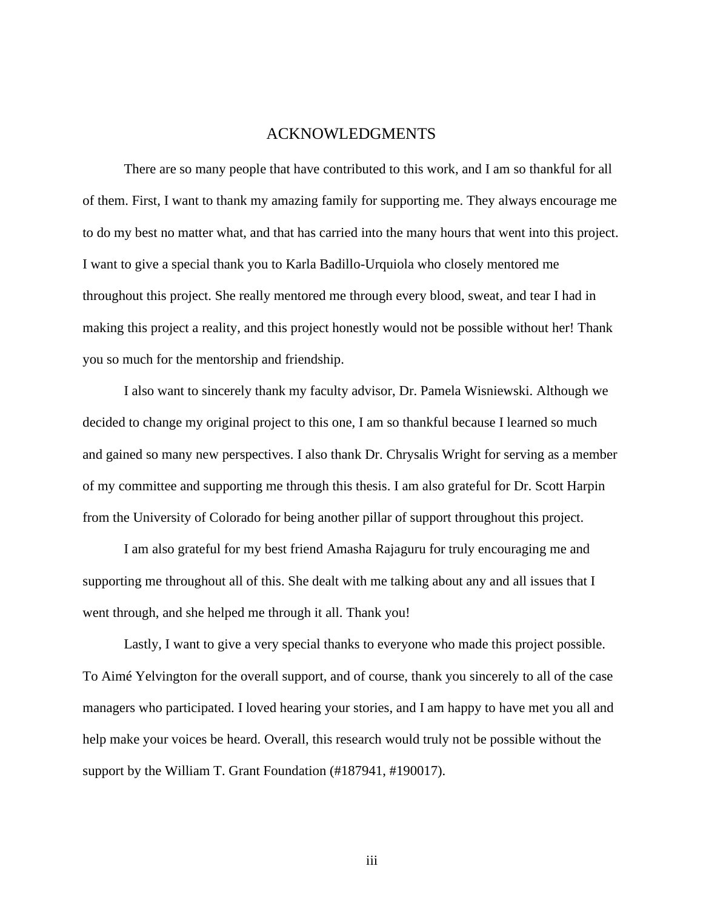#### ACKNOWLEDGMENTS

There are so many people that have contributed to this work, and I am so thankful for all of them. First, I want to thank my amazing family for supporting me. They always encourage me to do my best no matter what, and that has carried into the many hours that went into this project. I want to give a special thank you to Karla Badillo-Urquiola who closely mentored me throughout this project. She really mentored me through every blood, sweat, and tear I had in making this project a reality, and this project honestly would not be possible without her! Thank you so much for the mentorship and friendship.

I also want to sincerely thank my faculty advisor, Dr. Pamela Wisniewski. Although we decided to change my original project to this one, I am so thankful because I learned so much and gained so many new perspectives. I also thank Dr. Chrysalis Wright for serving as a member of my committee and supporting me through this thesis. I am also grateful for Dr. Scott Harpin from the University of Colorado for being another pillar of support throughout this project.

I am also grateful for my best friend Amasha Rajaguru for truly encouraging me and supporting me throughout all of this. She dealt with me talking about any and all issues that I went through, and she helped me through it all. Thank you!

Lastly, I want to give a very special thanks to everyone who made this project possible. To Aimé Yelvington for the overall support, and of course, thank you sincerely to all of the case managers who participated. I loved hearing your stories, and I am happy to have met you all and help make your voices be heard. Overall, this research would truly not be possible without the support by the William T. Grant Foundation (#187941, #190017).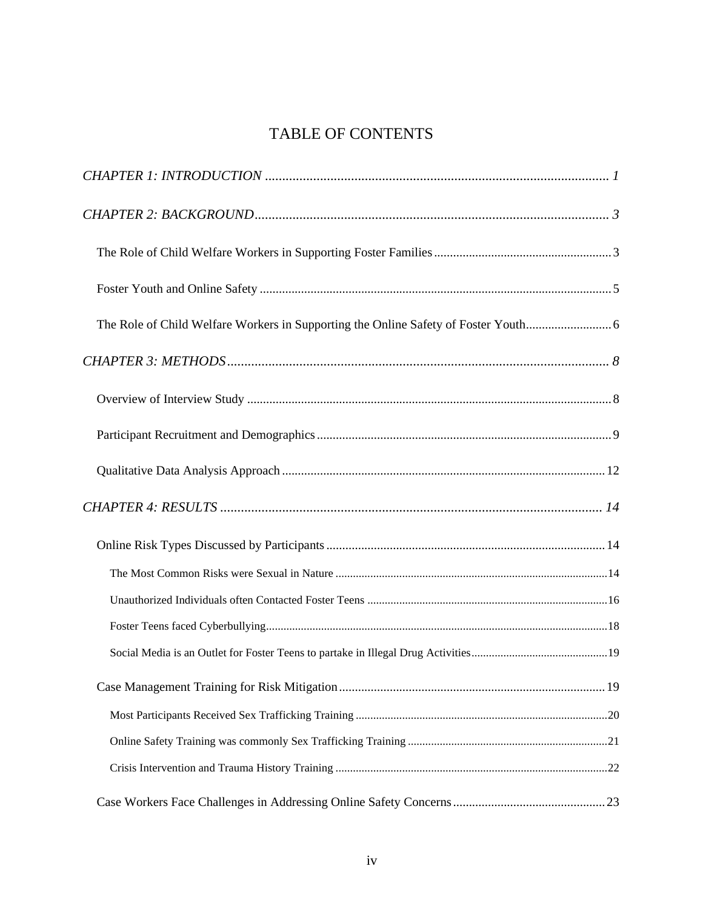## TABLE OF CONTENTS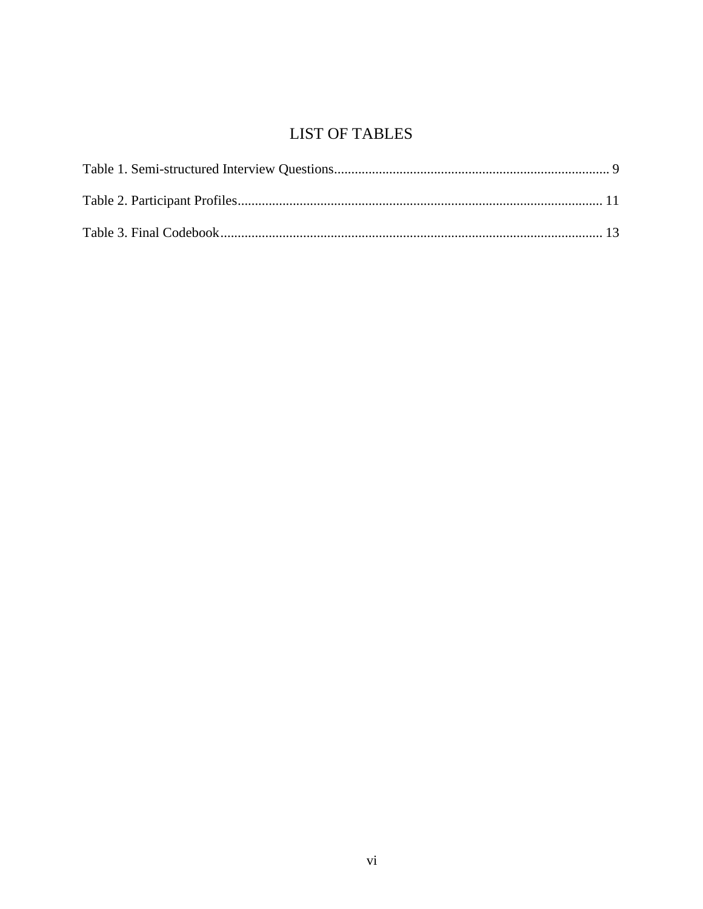# **LIST OF TABLES**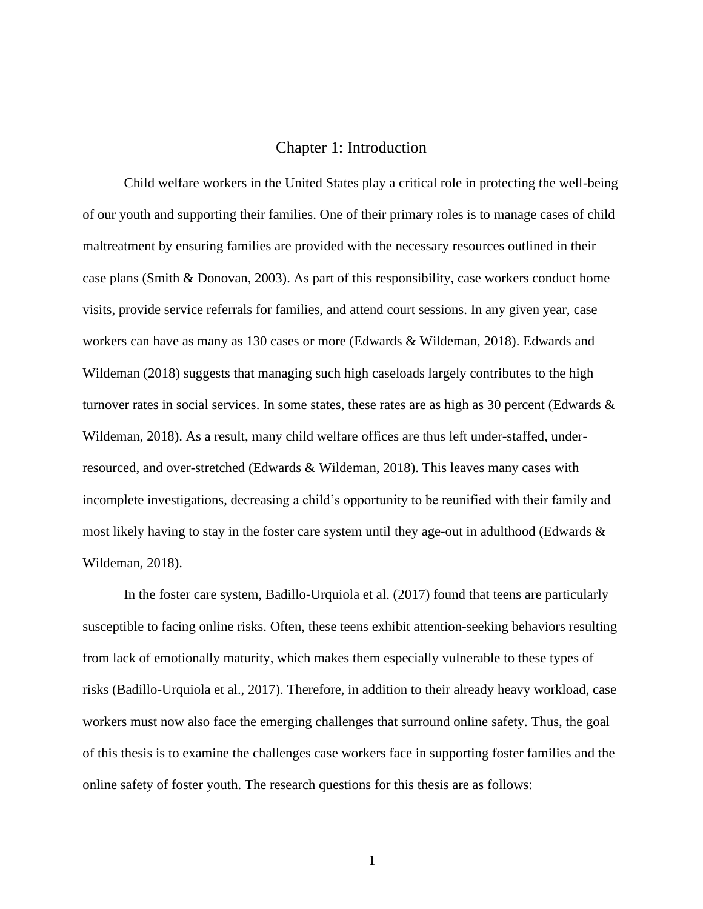#### Chapter 1: Introduction

<span id="page-7-0"></span>Child welfare workers in the United States play a critical role in protecting the well-being of our youth and supporting their families. One of their primary roles is to manage cases of child maltreatment by ensuring families are provided with the necessary resources outlined in their case plans (Smith & Donovan, 2003). As part of this responsibility, case workers conduct home visits, provide service referrals for families, and attend court sessions. In any given year, case workers can have as many as 130 cases or more (Edwards & Wildeman, 2018). Edwards and Wildeman (2018) suggests that managing such high caseloads largely contributes to the high turnover rates in social services. In some states, these rates are as high as 30 percent (Edwards & Wildeman, 2018). As a result, many child welfare offices are thus left under-staffed, underresourced, and over-stretched (Edwards & Wildeman, 2018). This leaves many cases with incomplete investigations, decreasing a child's opportunity to be reunified with their family and most likely having to stay in the foster care system until they age-out in adulthood (Edwards  $\&$ Wildeman, 2018).

In the foster care system, Badillo-Urquiola et al. (2017) found that teens are particularly susceptible to facing online risks. Often, these teens exhibit attention-seeking behaviors resulting from lack of emotionally maturity, which makes them especially vulnerable to these types of risks (Badillo-Urquiola et al., 2017). Therefore, in addition to their already heavy workload, case workers must now also face the emerging challenges that surround online safety. Thus, the goal of this thesis is to examine the challenges case workers face in supporting foster families and the online safety of foster youth. The research questions for this thesis are as follows: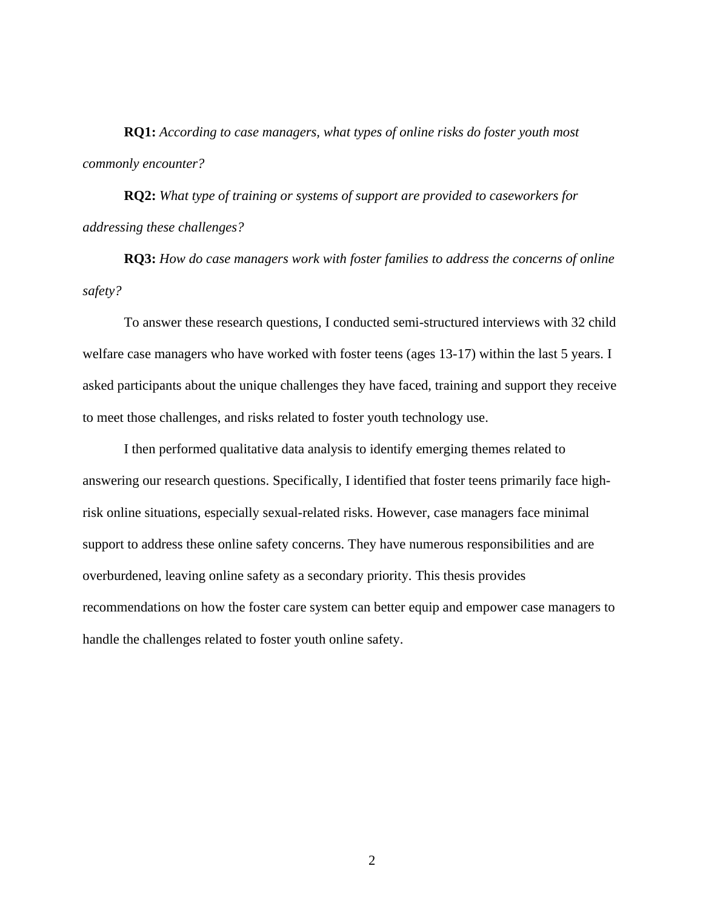**RQ1:** *According to case managers, what types of online risks do foster youth most commonly encounter?*

**RQ2:** *What type of training or systems of support are provided to caseworkers for addressing these challenges?*

**RQ3:** *How do case managers work with foster families to address the concerns of online safety?*

To answer these research questions, I conducted semi-structured interviews with 32 child welfare case managers who have worked with foster teens (ages 13-17) within the last 5 years. I asked participants about the unique challenges they have faced, training and support they receive to meet those challenges, and risks related to foster youth technology use.

I then performed qualitative data analysis to identify emerging themes related to answering our research questions. Specifically, I identified that foster teens primarily face highrisk online situations, especially sexual-related risks. However, case managers face minimal support to address these online safety concerns. They have numerous responsibilities and are overburdened, leaving online safety as a secondary priority. This thesis provides recommendations on how the foster care system can better equip and empower case managers to handle the challenges related to foster youth online safety.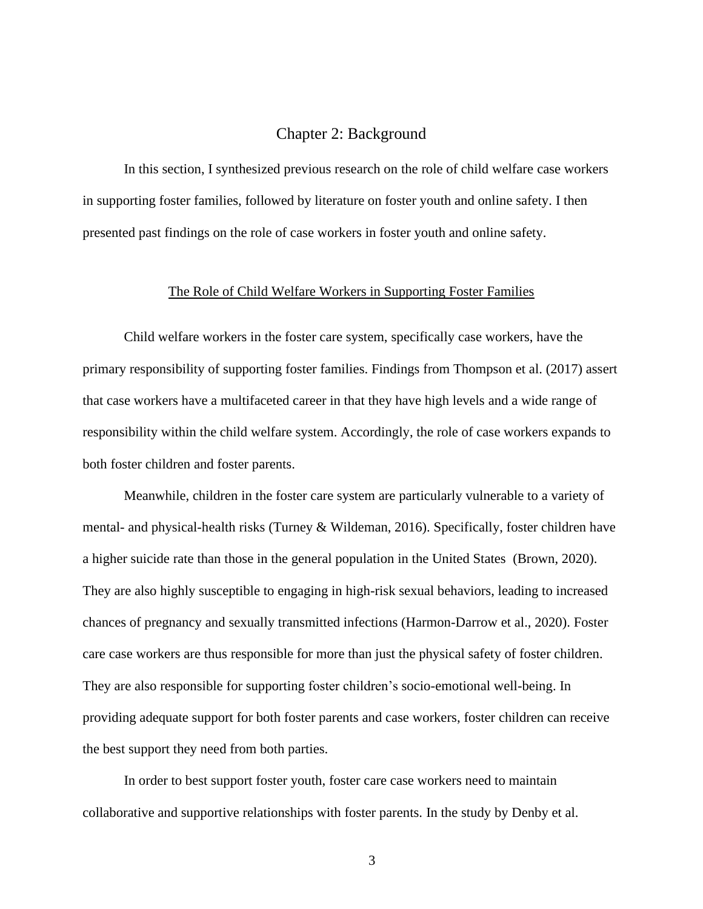#### Chapter 2: Background

<span id="page-9-0"></span>In this section, I synthesized previous research on the role of child welfare case workers in supporting foster families, followed by literature on foster youth and online safety. I then presented past findings on the role of case workers in foster youth and online safety.

#### The Role of Child Welfare Workers in Supporting Foster Families

<span id="page-9-1"></span>Child welfare workers in the foster care system, specifically case workers, have the primary responsibility of supporting foster families. Findings from Thompson et al. (2017) assert that case workers have a multifaceted career in that they have high levels and a wide range of responsibility within the child welfare system. Accordingly, the role of case workers expands to both foster children and foster parents.

Meanwhile, children in the foster care system are particularly vulnerable to a variety of mental- and physical-health risks (Turney & Wildeman, 2016). Specifically, foster children have a higher suicide rate than those in the general population in the United States (Brown, 2020). They are also highly susceptible to engaging in high-risk sexual behaviors, leading to increased chances of pregnancy and sexually transmitted infections (Harmon-Darrow et al., 2020). Foster care case workers are thus responsible for more than just the physical safety of foster children. They are also responsible for supporting foster children's socio-emotional well-being. In providing adequate support for both foster parents and case workers, foster children can receive the best support they need from both parties.

In order to best support foster youth, foster care case workers need to maintain collaborative and supportive relationships with foster parents. In the study by Denby et al.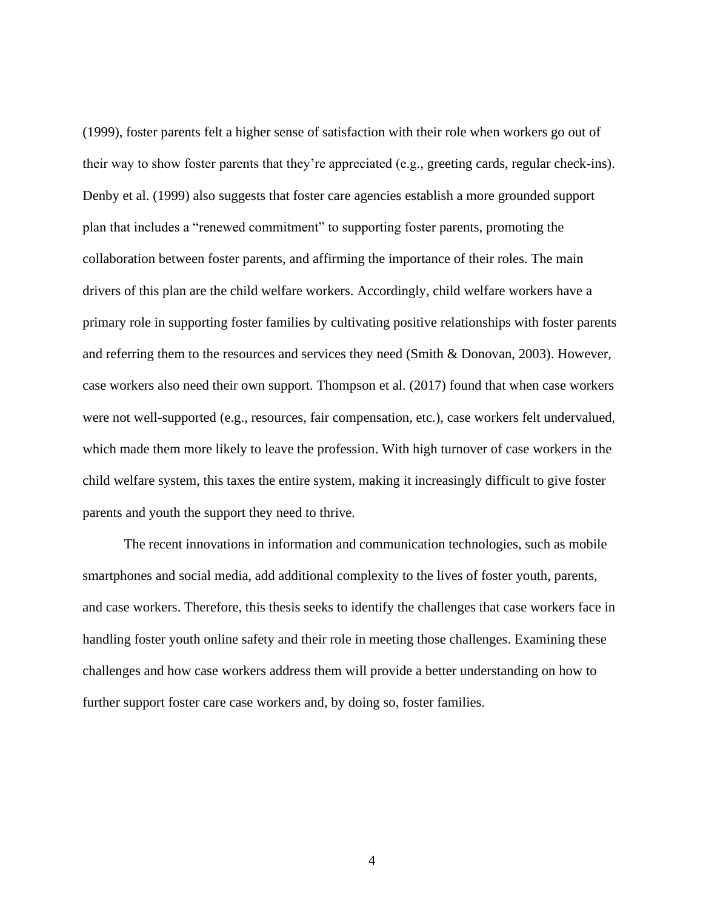(1999), foster parents felt a higher sense of satisfaction with their role when workers go out of their way to show foster parents that they're appreciated (e.g., greeting cards, regular check-ins). Denby et al. (1999) also suggests that foster care agencies establish a more grounded support plan that includes a "renewed commitment" to supporting foster parents, promoting the collaboration between foster parents, and affirming the importance of their roles. The main drivers of this plan are the child welfare workers. Accordingly, child welfare workers have a primary role in supporting foster families by cultivating positive relationships with foster parents and referring them to the resources and services they need (Smith & Donovan, 2003). However, case workers also need their own support. Thompson et al. (2017) found that when case workers were not well-supported (e.g., resources, fair compensation, etc.), case workers felt undervalued, which made them more likely to leave the profession. With high turnover of case workers in the child welfare system, this taxes the entire system, making it increasingly difficult to give foster parents and youth the support they need to thrive.

The recent innovations in information and communication technologies, such as mobile smartphones and social media, add additional complexity to the lives of foster youth, parents, and case workers. Therefore, this thesis seeks to identify the challenges that case workers face in handling foster youth online safety and their role in meeting those challenges. Examining these challenges and how case workers address them will provide a better understanding on how to further support foster care case workers and, by doing so, foster families.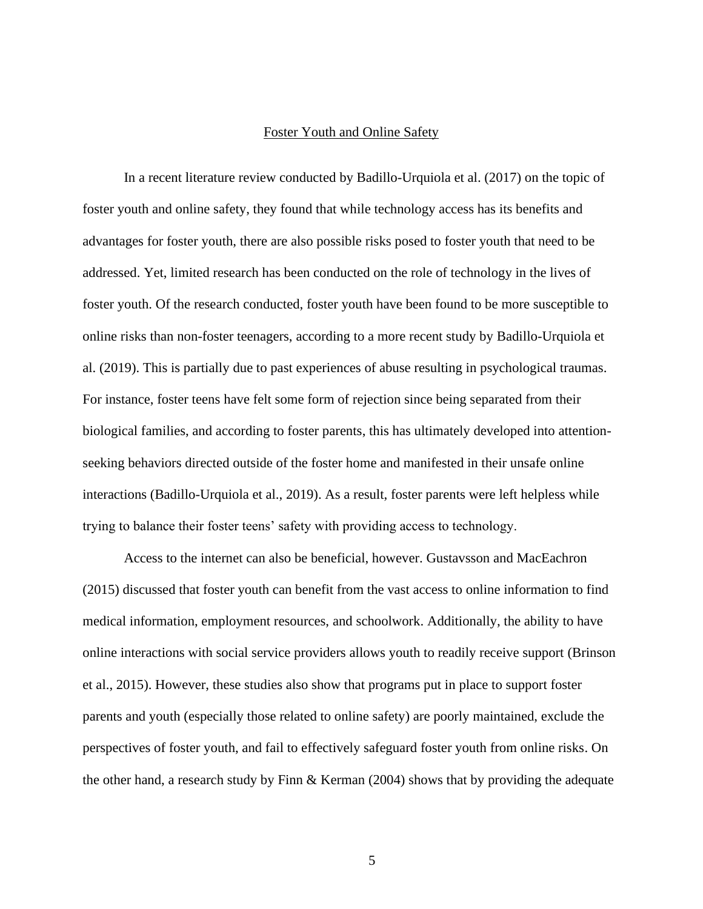#### Foster Youth and Online Safety

<span id="page-11-0"></span>In a recent literature review conducted by Badillo-Urquiola et al. (2017) on the topic of foster youth and online safety, they found that while technology access has its benefits and advantages for foster youth, there are also possible risks posed to foster youth that need to be addressed. Yet, limited research has been conducted on the role of technology in the lives of foster youth. Of the research conducted, foster youth have been found to be more susceptible to online risks than non-foster teenagers, according to a more recent study by Badillo-Urquiola et al. (2019). This is partially due to past experiences of abuse resulting in psychological traumas. For instance, foster teens have felt some form of rejection since being separated from their biological families, and according to foster parents, this has ultimately developed into attentionseeking behaviors directed outside of the foster home and manifested in their unsafe online interactions (Badillo-Urquiola et al., 2019). As a result, foster parents were left helpless while trying to balance their foster teens' safety with providing access to technology.

Access to the internet can also be beneficial, however. Gustavsson and MacEachron (2015) discussed that foster youth can benefit from the vast access to online information to find medical information, employment resources, and schoolwork. Additionally, the ability to have online interactions with social service providers allows youth to readily receive support (Brinson et al., 2015). However, these studies also show that programs put in place to support foster parents and youth (especially those related to online safety) are poorly maintained, exclude the perspectives of foster youth, and fail to effectively safeguard foster youth from online risks. On the other hand, a research study by Finn & Kerman (2004) shows that by providing the adequate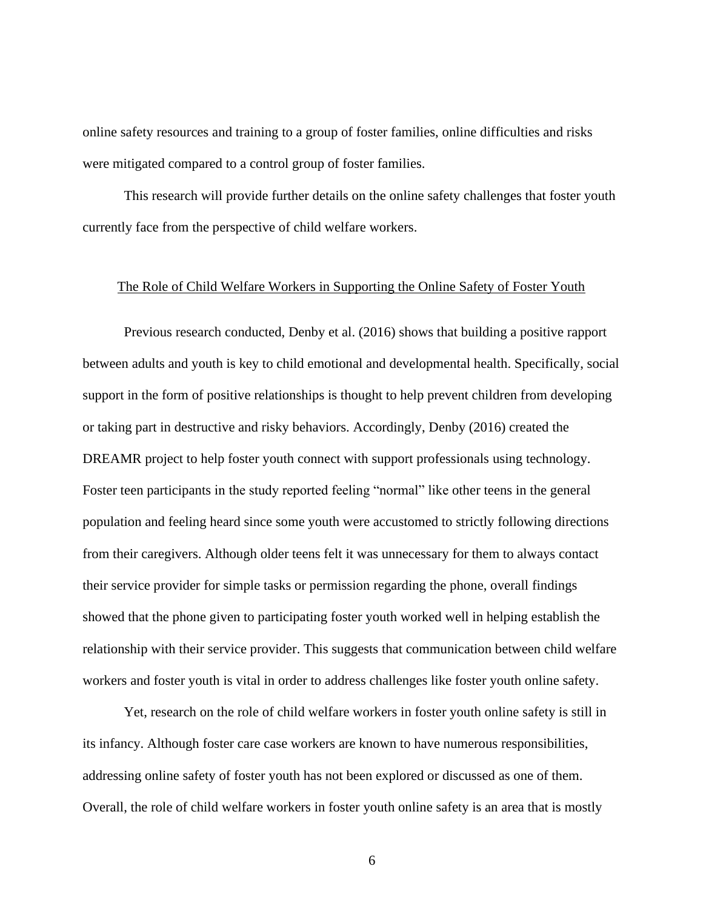online safety resources and training to a group of foster families, online difficulties and risks were mitigated compared to a control group of foster families.

This research will provide further details on the online safety challenges that foster youth currently face from the perspective of child welfare workers.

#### <span id="page-12-0"></span>The Role of Child Welfare Workers in Supporting the Online Safety of Foster Youth

Previous research conducted, Denby et al. (2016) shows that building a positive rapport between adults and youth is key to child emotional and developmental health. Specifically, social support in the form of positive relationships is thought to help prevent children from developing or taking part in destructive and risky behaviors. Accordingly, Denby (2016) created the DREAMR project to help foster youth connect with support professionals using technology. Foster teen participants in the study reported feeling "normal" like other teens in the general population and feeling heard since some youth were accustomed to strictly following directions from their caregivers. Although older teens felt it was unnecessary for them to always contact their service provider for simple tasks or permission regarding the phone, overall findings showed that the phone given to participating foster youth worked well in helping establish the relationship with their service provider. This suggests that communication between child welfare workers and foster youth is vital in order to address challenges like foster youth online safety.

Yet, research on the role of child welfare workers in foster youth online safety is still in its infancy. Although foster care case workers are known to have numerous responsibilities, addressing online safety of foster youth has not been explored or discussed as one of them. Overall, the role of child welfare workers in foster youth online safety is an area that is mostly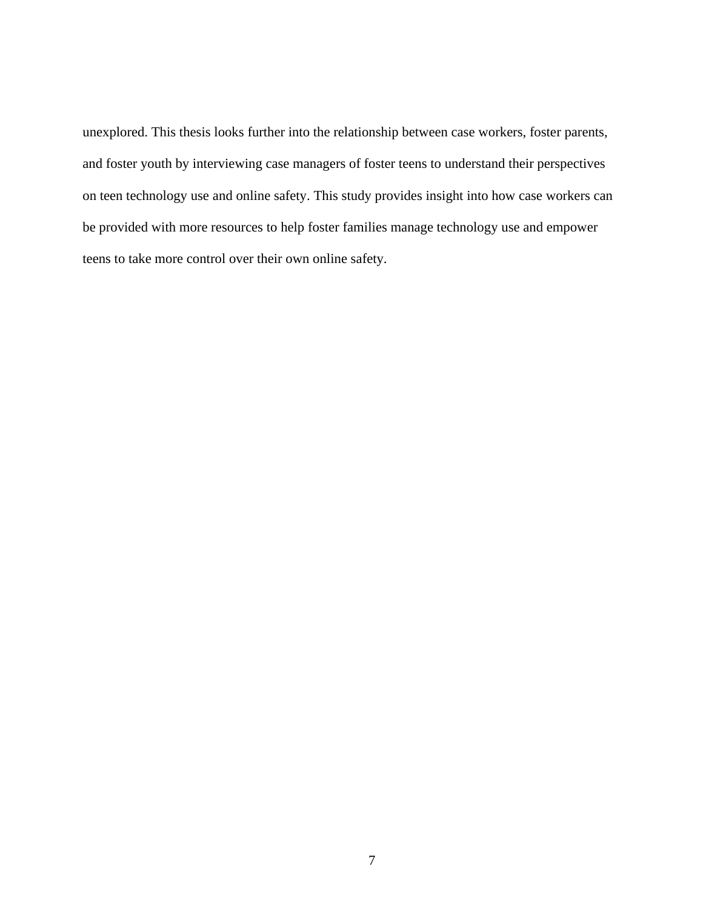unexplored. This thesis looks further into the relationship between case workers, foster parents, and foster youth by interviewing case managers of foster teens to understand their perspectives on teen technology use and online safety. This study provides insight into how case workers can be provided with more resources to help foster families manage technology use and empower teens to take more control over their own online safety.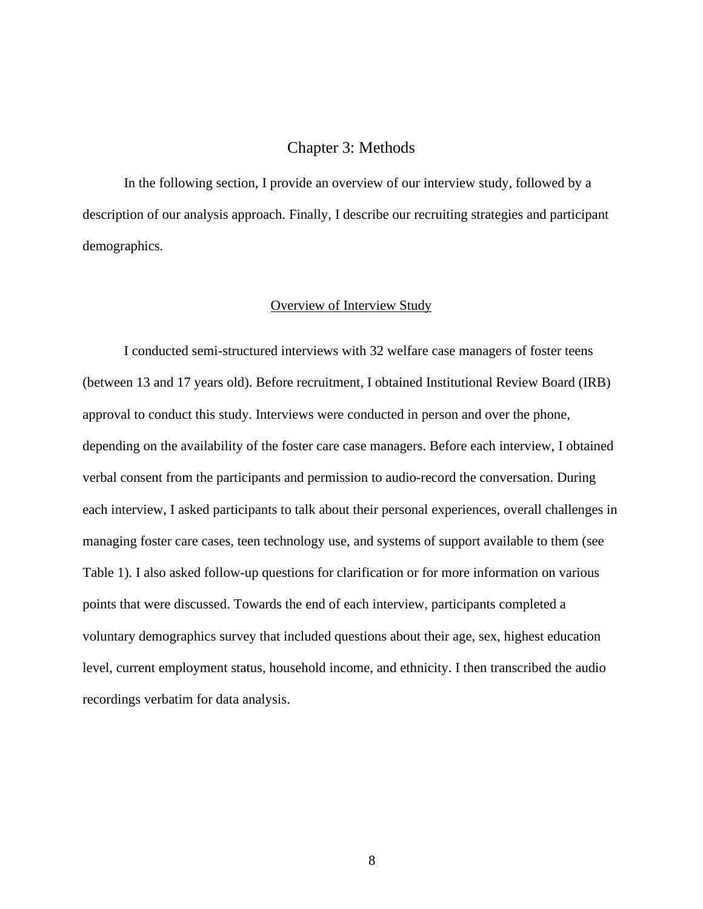#### Chapter 3: Methods

<span id="page-14-0"></span>In the following section, I provide an overview of our interview study, followed by a description of our analysis approach. Finally, I describe our recruiting strategies and participant demographics.

#### Overview of Interview Study

<span id="page-14-1"></span>I conducted semi-structured interviews with 32 welfare case managers of foster teens (between 13 and 17 years old). Before recruitment, I obtained Institutional Review Board (IRB) approval to conduct this study. Interviews were conducted in person and over the phone, depending on the availability of the foster care case managers. Before each interview, I obtained verbal consent from the participants and permission to audio-record the conversation. During each interview, I asked participants to talk about their personal experiences, overall challenges in managing foster care cases, teen technology use, and systems of support available to them (see Table 1). I also asked follow-up questions for clarification or for more information on various points that were discussed. Towards the end of each interview, participants completed a voluntary demographics survey that included questions about their age, sex, highest education level, current employment status, household income, and ethnicity. I then transcribed the audio recordings verbatim for data analysis.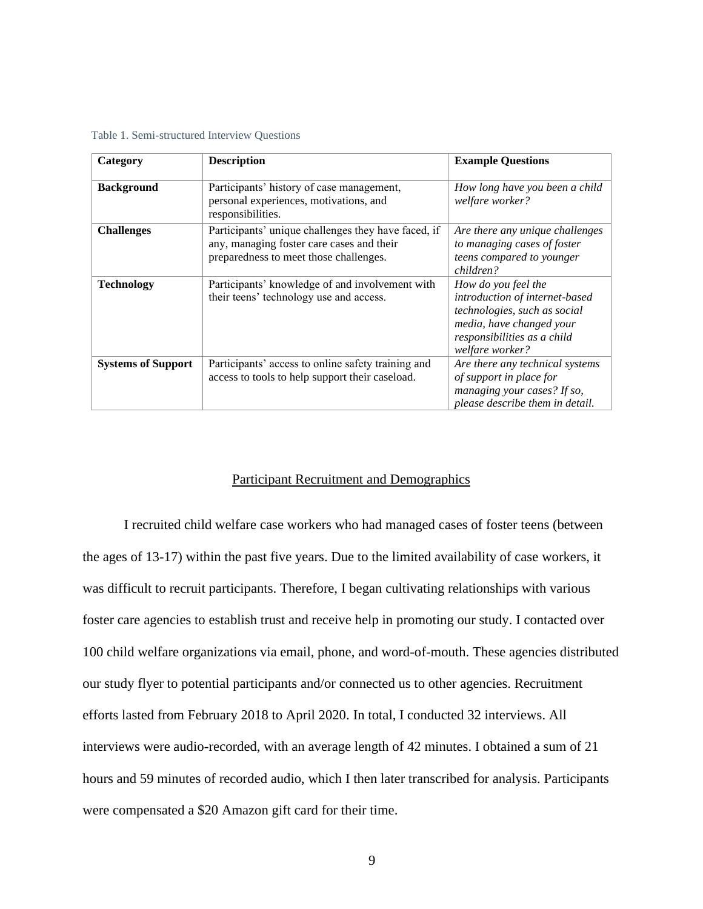| Category                  | <b>Description</b>                                                                                                                         | <b>Example Questions</b>                                                                                                                                            |
|---------------------------|--------------------------------------------------------------------------------------------------------------------------------------------|---------------------------------------------------------------------------------------------------------------------------------------------------------------------|
| <b>Background</b>         | Participants' history of case management,<br>personal experiences, motivations, and<br>responsibilities.                                   | How long have you been a child<br>welfare worker?                                                                                                                   |
| <b>Challenges</b>         | Participants' unique challenges they have faced, if<br>any, managing foster care cases and their<br>preparedness to meet those challenges. | Are there any unique challenges<br>to managing cases of foster<br>teens compared to younger<br>children?                                                            |
| <b>Technology</b>         | Participants' knowledge of and involvement with<br>their teens' technology use and access.                                                 | How do you feel the<br>introduction of internet-based<br>technologies, such as social<br>media, have changed your<br>responsibilities as a child<br>welfare worker? |
| <b>Systems of Support</b> | Participants' access to online safety training and<br>access to tools to help support their caseload.                                      | Are there any technical systems<br>of support in place for<br>managing your cases? If so,<br>please describe them in detail.                                        |

Table 1. Semi-structured Interview Questions

#### Participant Recruitment and Demographics

<span id="page-15-0"></span>I recruited child welfare case workers who had managed cases of foster teens (between the ages of 13-17) within the past five years. Due to the limited availability of case workers, it was difficult to recruit participants. Therefore, I began cultivating relationships with various foster care agencies to establish trust and receive help in promoting our study. I contacted over 100 child welfare organizations via email, phone, and word-of-mouth. These agencies distributed our study flyer to potential participants and/or connected us to other agencies. Recruitment efforts lasted from February 2018 to April 2020. In total, I conducted 32 interviews. All interviews were audio-recorded, with an average length of 42 minutes. I obtained a sum of 21 hours and 59 minutes of recorded audio, which I then later transcribed for analysis. Participants were compensated a \$20 Amazon gift card for their time.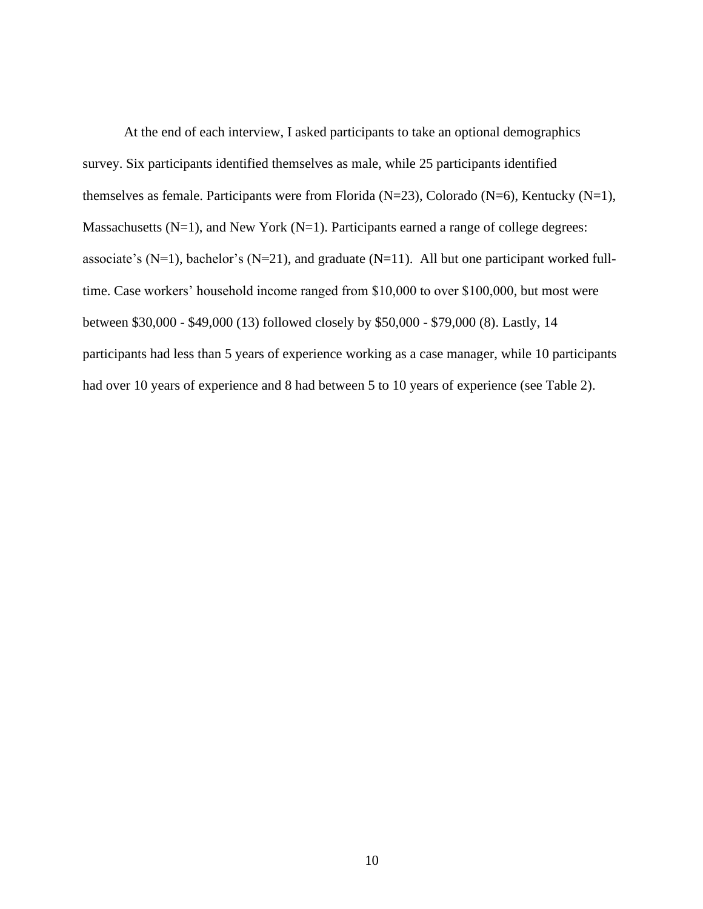At the end of each interview, I asked participants to take an optional demographics survey. Six participants identified themselves as male, while 25 participants identified themselves as female. Participants were from Florida (N=23), Colorado (N=6), Kentucky (N=1), Massachusetts ( $N=1$ ), and New York ( $N=1$ ). Participants earned a range of college degrees: associate's (N=1), bachelor's (N=21), and graduate (N=11). All but one participant worked fulltime. Case workers' household income ranged from \$10,000 to over \$100,000, but most were between \$30,000 - \$49,000 (13) followed closely by \$50,000 - \$79,000 (8). Lastly, 14 participants had less than 5 years of experience working as a case manager, while 10 participants had over 10 years of experience and 8 had between 5 to 10 years of experience (see Table 2).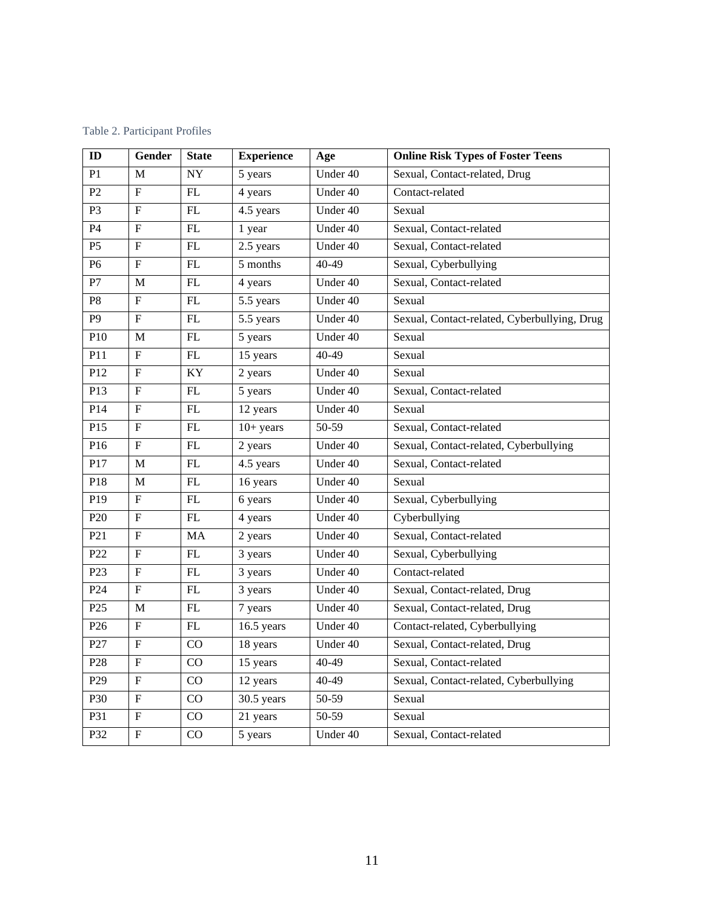| ID              | Gender                    | <b>State</b>    | <b>Experience</b> | Age       | <b>Online Risk Types of Foster Teens</b>     |
|-----------------|---------------------------|-----------------|-------------------|-----------|----------------------------------------------|
| P1              | M                         | $\overline{NY}$ | 5 years           | Under 40  | Sexual, Contact-related, Drug                |
| $\mathbf{P}2$   | $\overline{F}$            | FL              | 4 years           | Under 40  | Contact-related                              |
| P3              | $\mathbf{F}$              | $\mathbf{FL}$   | 4.5 years         | Under 40  | Sexual                                       |
| P4              | $\boldsymbol{\mathrm{F}}$ | FL              | 1 year            | Under 40  | Sexual, Contact-related                      |
| P <sub>5</sub>  | $\overline{F}$            | ${\rm FL}$      | $2.5$ years       | Under 40  | Sexual, Contact-related                      |
| P <sub>6</sub>  | $\overline{\mathrm{F}}$   | FL              | 5 months          | $40 - 49$ | Sexual, Cyberbullying                        |
| ${\bf P}7$      | M                         | $\mathbf{FL}$   | 4 years           | Under 40  | Sexual, Contact-related                      |
| ${\bf P8}$      | $\boldsymbol{\mathrm{F}}$ | $\mathbf{FL}$   | 5.5 years         | Under 40  | Sexual                                       |
| $\overline{P9}$ | $\boldsymbol{\mathrm{F}}$ | ${\rm FL}$      | 5.5 years         | Under 40  | Sexual, Contact-related, Cyberbullying, Drug |
| P10             | M                         | ${\rm FL}$      | 5 years           | Under 40  | Sexual                                       |
| P11             | ${\bf F}$                 | ${\rm FL}$      | 15 years          | 40-49     | Sexual                                       |
| P12             | $\boldsymbol{\mathrm{F}}$ | KY              | 2 years           | Under 40  | Sexual                                       |
| P13             | $\overline{F}$            | FL              | 5 years           | Under 40  | Sexual, Contact-related                      |
| P14             | $\boldsymbol{\mathrm{F}}$ | FL              | 12 years          | Under 40  | Sexual                                       |
| P15             | $\mathbf F$               | FL              | $10+ years$       | 50-59     | Sexual, Contact-related                      |
| P16             | $\mathbf F$               | FL              | 2 years           | Under 40  | Sexual, Contact-related, Cyberbullying       |
| P17             | $\mathbf M$               | FL              | 4.5 years         | Under 40  | Sexual, Contact-related                      |
| P18             | M                         | $\mathbf{FL}$   | 16 years          | Under 40  | Sexual                                       |
| P <sub>19</sub> | $\boldsymbol{\mathrm{F}}$ | $\mathbf{FL}$   | 6 years           | Under 40  | Sexual, Cyberbullying                        |
| P <sub>20</sub> | ${\bf F}$                 | $\mathbf{FL}$   | 4 years           | Under 40  | Cyberbullying                                |
| P21             | $\overline{F}$            | <b>MA</b>       | 2 years           | Under 40  | Sexual, Contact-related                      |
| P22             | ${\bf F}$                 | ${\rm FL}$      | 3 years           | Under 40  | Sexual, Cyberbullying                        |
| P <sub>23</sub> | $\boldsymbol{\mathrm{F}}$ | FL              | 3 years           | Under 40  | Contact-related                              |
| P <sub>24</sub> | ${\bf F}$                 | FL              | 3 years           | Under 40  | Sexual, Contact-related, Drug                |
| P <sub>25</sub> | M                         | ${\rm FL}$      | 7 years           | Under 40  | Sexual, Contact-related, Drug                |
| P <sub>26</sub> | $\mathbf F$               | $\mathbf{FL}$   | 16.5 years        | Under 40  | Contact-related, Cyberbullying               |
| P27             | $\mathbf F$               | CO              | 18 years          | Under 40  | Sexual, Contact-related, Drug                |
| P <sub>28</sub> | ${\bf F}$                 | CO              | 15 years          | 40-49     | Sexual, Contact-related                      |
| P <sub>29</sub> | $\boldsymbol{\mathrm{F}}$ | CO              | 12 years          | $40 - 49$ | Sexual, Contact-related, Cyberbullying       |
| P30             | $F_{\rm}$                 | CO              | 30.5 years        | 50-59     | Sexual                                       |
| P31             | F                         | CO              | 21 years          | 50-59     | Sexual                                       |
| P32             | ${\bf F}$                 | CO              | 5 years           | Under 40  | Sexual, Contact-related                      |

<span id="page-17-0"></span>Table 2. Participant Profiles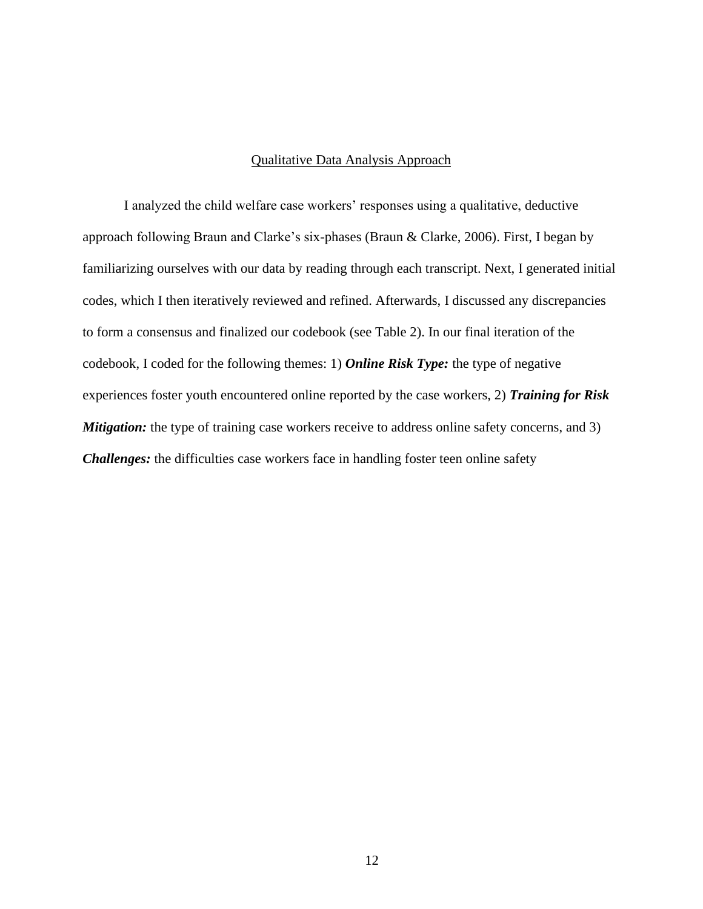#### Qualitative Data Analysis Approach

<span id="page-18-0"></span>I analyzed the child welfare case workers' responses using a qualitative, deductive approach following Braun and Clarke's six-phases (Braun & Clarke, 2006). First, I began by familiarizing ourselves with our data by reading through each transcript. Next, I generated initial codes, which I then iteratively reviewed and refined. Afterwards, I discussed any discrepancies to form a consensus and finalized our codebook (see Table 2). In our final iteration of the codebook, I coded for the following themes: 1) *Online Risk Type:* the type of negative experiences foster youth encountered online reported by the case workers, 2) *Training for Risk Mitigation:* the type of training case workers receive to address online safety concerns, and 3) *Challenges:* the difficulties case workers face in handling foster teen online safety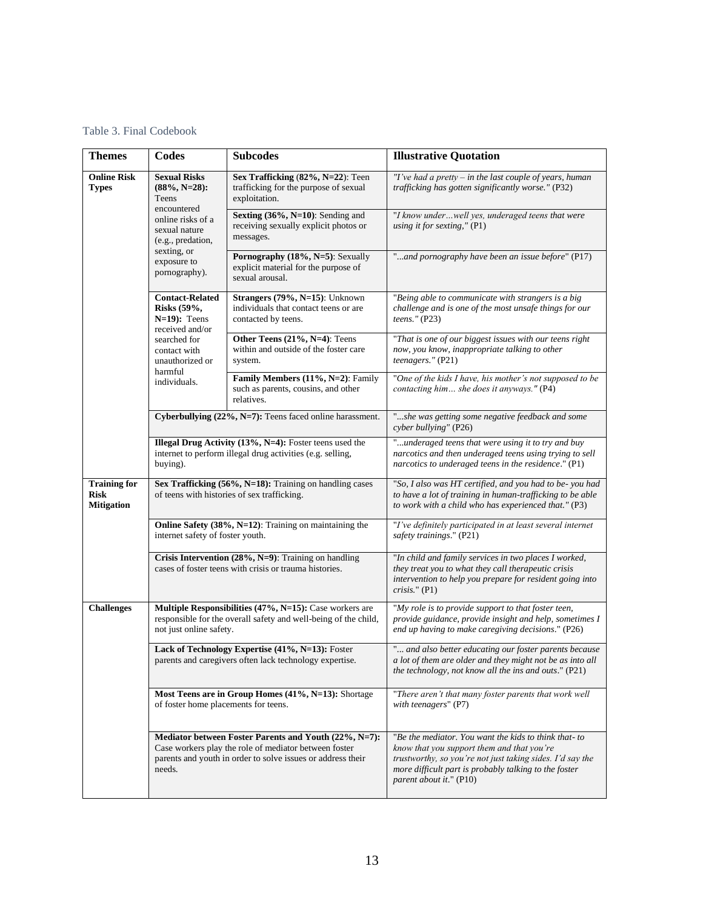<span id="page-19-0"></span>Table 3. Final Codebook

| <b>Themes</b>                                           | <b>Codes</b>                                                                                                                                                                            | <b>Subcodes</b>                                                                                                            | <b>Illustrative Quotation</b>                                                                                                                                                                                                                       |
|---------------------------------------------------------|-----------------------------------------------------------------------------------------------------------------------------------------------------------------------------------------|----------------------------------------------------------------------------------------------------------------------------|-----------------------------------------------------------------------------------------------------------------------------------------------------------------------------------------------------------------------------------------------------|
| <b>Online Risk</b><br><b>Types</b>                      | <b>Sexual Risks</b><br>$(88\%, N=28)$ :<br>Teens<br>encountered<br>online risks of a<br>sexual nature<br>(e.g., predation,<br>sexting, or<br>exposure to<br>pornography).               | Sex Trafficking (82%, N=22): Teen<br>trafficking for the purpose of sexual<br>exploitation.                                | "I've had a pretty $-$ in the last couple of years, human<br>trafficking has gotten significantly worse." (P32)                                                                                                                                     |
|                                                         |                                                                                                                                                                                         | Sexting (36%, N=10): Sending and<br>receiving sexually explicit photos or<br>messages.                                     | "I know underwell yes, underaged teens that were<br>using it for sexting," $(P1)$                                                                                                                                                                   |
|                                                         |                                                                                                                                                                                         | Pornography (18%, N=5): Sexually<br>explicit material for the purpose of<br>sexual arousal.                                | "and pornography have been an issue before" (P17)                                                                                                                                                                                                   |
|                                                         | <b>Contact-Related</b><br>Risks (59%,<br>$N=19$ : Teens<br>received and/or<br>searched for<br>contact with<br>unauthorized or<br>harmful<br>individuals.                                | Strangers (79%, N=15): Unknown<br>individuals that contact teens or are<br>contacted by teens.                             | "Being able to communicate with strangers is a big<br>challenge and is one of the most unsafe things for our<br>teens." $(P23)$                                                                                                                     |
|                                                         |                                                                                                                                                                                         | Other Teens (21%, N=4): Teens<br>within and outside of the foster care<br>system.                                          | "That is one of our biggest issues with our teens right<br>now, you know, inappropriate talking to other<br>teenagers." (P21)                                                                                                                       |
|                                                         |                                                                                                                                                                                         | Family Members (11%, N=2): Family<br>such as parents, cousins, and other<br>relatives.                                     | "One of the kids I have, his mother's not supposed to be<br>contacting him she does it anyways." (P4)                                                                                                                                               |
|                                                         | Cyberbullying (22%, N=7): Teens faced online harassment.                                                                                                                                |                                                                                                                            | "she was getting some negative feedback and some<br>cyber bullying" (P26)                                                                                                                                                                           |
|                                                         | <b>Illegal Drug Activity (13%, N=4):</b> Foster teens used the<br>internet to perform illegal drug activities (e.g. selling,<br>buying).                                                |                                                                                                                            | "underaged teens that were using it to try and buy<br>narcotics and then underaged teens using trying to sell<br>narcotics to underaged teens in the residence." (P1)                                                                               |
| <b>Training for</b><br><b>Risk</b><br><b>Mitigation</b> | Sex Trafficking (56%, N=18): Training on handling cases<br>of teens with histories of sex trafficking.                                                                                  |                                                                                                                            | "So, I also was HT certified, and you had to be- you had<br>to have a lot of training in human-trafficking to be able<br>to work with a child who has experienced that." (P3)                                                                       |
|                                                         | Online Safety (38%, N=12): Training on maintaining the<br>internet safety of foster youth.                                                                                              |                                                                                                                            | "I've definitely participated in at least several internet<br>safety trainings." (P21)                                                                                                                                                              |
|                                                         | Crisis Intervention (28%, N=9): Training on handling<br>cases of foster teens with crisis or trauma histories.                                                                          |                                                                                                                            | "In child and family services in two places I worked,<br>they treat you to what they call therapeutic crisis<br>intervention to help you prepare for resident going into<br>$crisis.$ " (P1)                                                        |
| <b>Challenges</b>                                       | not just online safety.                                                                                                                                                                 | Multiple Responsibilities (47%, N=15): Case workers are<br>responsible for the overall safety and well-being of the child, | "My role is to provide support to that foster teen,<br>provide guidance, provide insight and help, sometimes I<br>end up having to make caregiving decisions." (P26)                                                                                |
|                                                         | Lack of Technology Expertise (41%, N=13): Foster<br>parents and caregivers often lack technology expertise.                                                                             |                                                                                                                            | " and also better educating our foster parents because<br>a lot of them are older and they might not be as into all<br>the technology, not know all the ins and outs." (P21)                                                                        |
|                                                         | Most Teens are in Group Homes (41%, N=13): Shortage<br>of foster home placements for teens.                                                                                             |                                                                                                                            | "There aren't that many foster parents that work well<br>with teenagers" (P7)                                                                                                                                                                       |
|                                                         | Mediator between Foster Parents and Youth (22%, N=7):<br>Case workers play the role of mediator between foster<br>parents and youth in order to solve issues or address their<br>needs. |                                                                                                                            | "Be the mediator. You want the kids to think that-to<br>know that you support them and that you're<br>trustworthy, so you're not just taking sides. I'd say the<br>more difficult part is probably talking to the foster<br>parent about it." (P10) |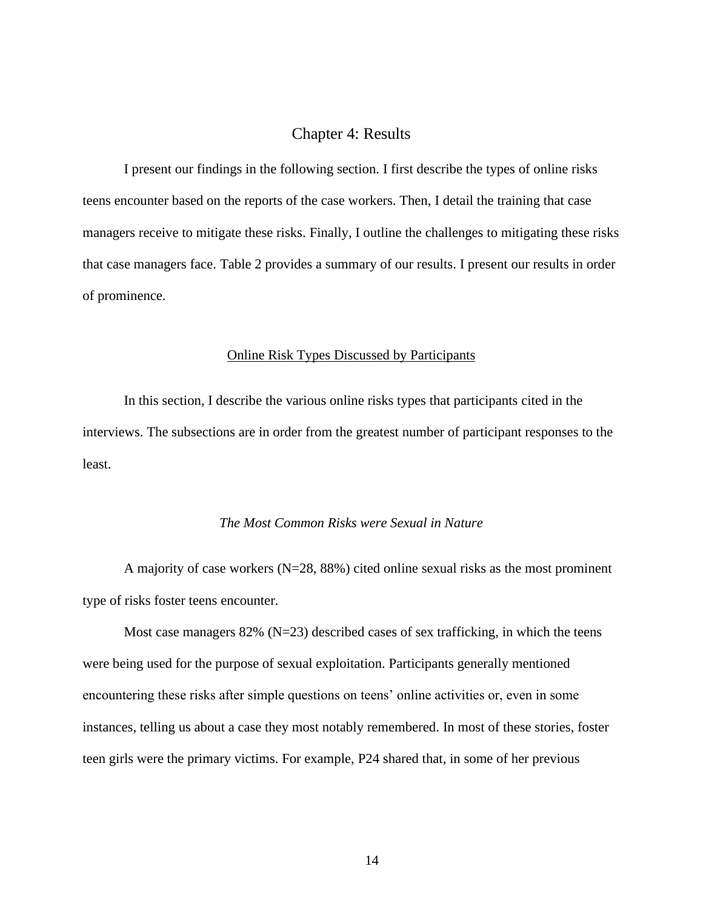#### Chapter 4: Results

<span id="page-20-0"></span>I present our findings in the following section. I first describe the types of online risks teens encounter based on the reports of the case workers. Then, I detail the training that case managers receive to mitigate these risks. Finally, I outline the challenges to mitigating these risks that case managers face. Table 2 provides a summary of our results. I present our results in order of prominence.

#### Online Risk Types Discussed by Participants

<span id="page-20-1"></span>In this section, I describe the various online risks types that participants cited in the interviews. The subsections are in order from the greatest number of participant responses to the least.

#### *The Most Common Risks were Sexual in Nature*

<span id="page-20-2"></span>A majority of case workers  $(N=28, 88%)$  cited online sexual risks as the most prominent type of risks foster teens encounter.

Most case managers  $82\%$  (N=23) described cases of sex trafficking, in which the teens were being used for the purpose of sexual exploitation. Participants generally mentioned encountering these risks after simple questions on teens' online activities or, even in some instances, telling us about a case they most notably remembered. In most of these stories, foster teen girls were the primary victims. For example, P24 shared that, in some of her previous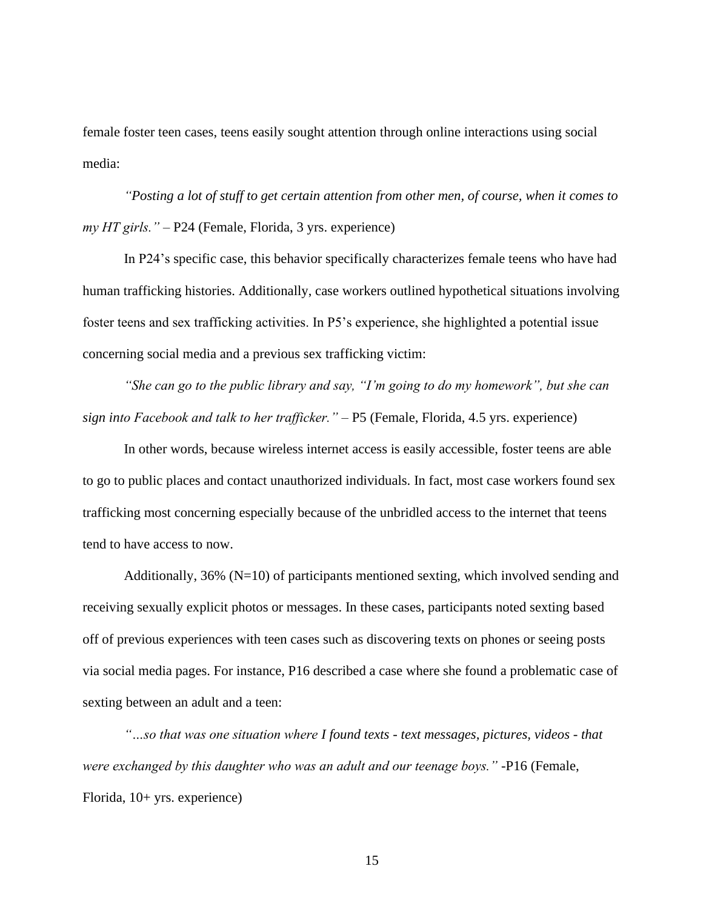female foster teen cases, teens easily sought attention through online interactions using social media:

*"Posting a lot of stuff to get certain attention from other men, of course, when it comes to my HT girls."* – P24 (Female, Florida, 3 yrs. experience)

In P24's specific case, this behavior specifically characterizes female teens who have had human trafficking histories. Additionally, case workers outlined hypothetical situations involving foster teens and sex trafficking activities. In P5's experience, she highlighted a potential issue concerning social media and a previous sex trafficking victim:

*"She can go to the public library and say, "I'm going to do my homework", but she can sign into Facebook and talk to her trafficker."* – P5 (Female, Florida, 4.5 yrs. experience)

In other words, because wireless internet access is easily accessible, foster teens are able to go to public places and contact unauthorized individuals. In fact, most case workers found sex trafficking most concerning especially because of the unbridled access to the internet that teens tend to have access to now.

Additionally, 36% (N=10) of participants mentioned sexting, which involved sending and receiving sexually explicit photos or messages. In these cases, participants noted sexting based off of previous experiences with teen cases such as discovering texts on phones or seeing posts via social media pages. For instance, P16 described a case where she found a problematic case of sexting between an adult and a teen:

*"…so that was one situation where I found texts - text messages, pictures, videos - that were exchanged by this daughter who was an adult and our teenage boys."* -P16 (Female, Florida, 10+ yrs. experience)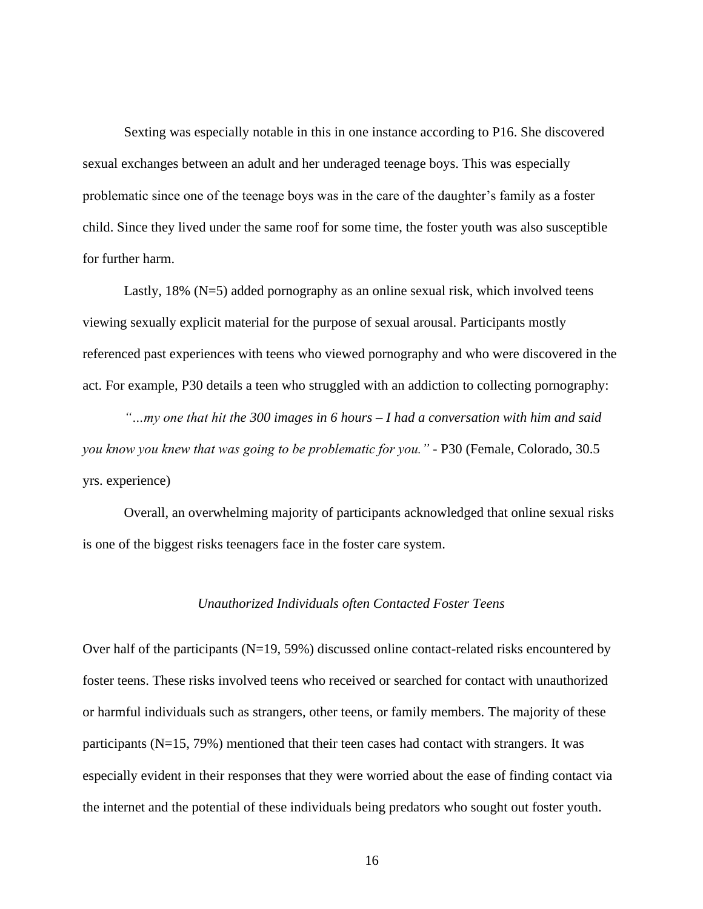Sexting was especially notable in this in one instance according to P16. She discovered sexual exchanges between an adult and her underaged teenage boys. This was especially problematic since one of the teenage boys was in the care of the daughter's family as a foster child. Since they lived under the same roof for some time, the foster youth was also susceptible for further harm.

Lastly, 18% (N=5) added pornography as an online sexual risk, which involved teens viewing sexually explicit material for the purpose of sexual arousal. Participants mostly referenced past experiences with teens who viewed pornography and who were discovered in the act. For example, P30 details a teen who struggled with an addiction to collecting pornography:

*"…my one that hit the 300 images in 6 hours – I had a conversation with him and said you know you knew that was going to be problematic for you."* - P30 (Female, Colorado, 30.5 yrs. experience)

<span id="page-22-0"></span>Overall, an overwhelming majority of participants acknowledged that online sexual risks is one of the biggest risks teenagers face in the foster care system.

#### *Unauthorized Individuals often Contacted Foster Teens*

Over half of the participants  $(N=19, 59%)$  discussed online contact-related risks encountered by foster teens. These risks involved teens who received or searched for contact with unauthorized or harmful individuals such as strangers, other teens, or family members. The majority of these participants (N=15, 79%) mentioned that their teen cases had contact with strangers. It was especially evident in their responses that they were worried about the ease of finding contact via the internet and the potential of these individuals being predators who sought out foster youth.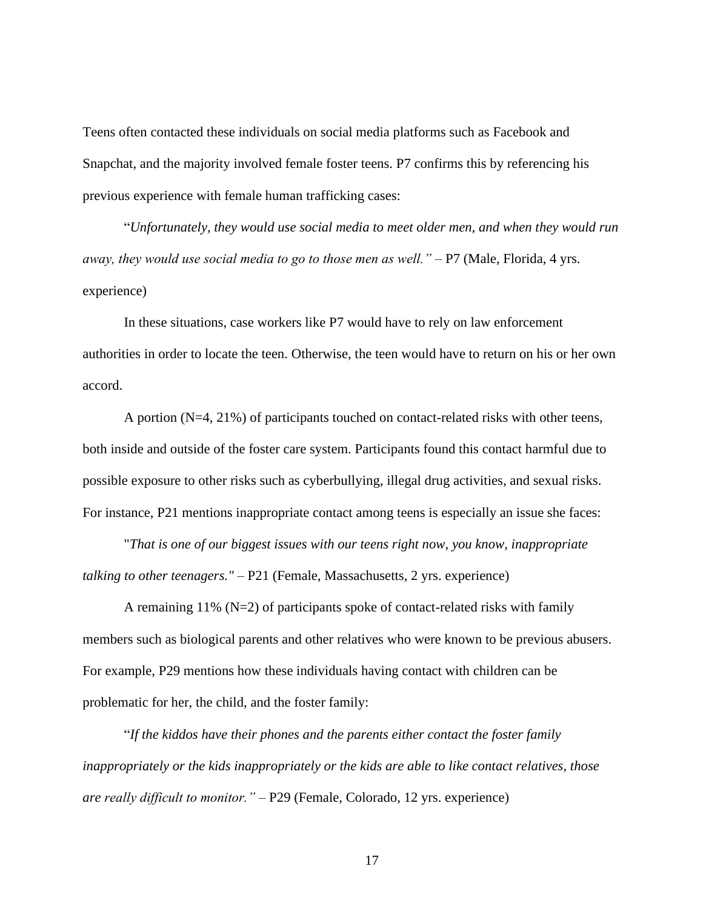Teens often contacted these individuals on social media platforms such as Facebook and Snapchat, and the majority involved female foster teens. P7 confirms this by referencing his previous experience with female human trafficking cases:

"*Unfortunately, they would use social media to meet older men, and when they would run away, they would use social media to go to those men as well."* – P7 (Male, Florida, 4 yrs. experience)

In these situations, case workers like P7 would have to rely on law enforcement authorities in order to locate the teen. Otherwise, the teen would have to return on his or her own accord.

A portion (N=4, 21%) of participants touched on contact-related risks with other teens, both inside and outside of the foster care system. Participants found this contact harmful due to possible exposure to other risks such as cyberbullying, illegal drug activities, and sexual risks. For instance, P21 mentions inappropriate contact among teens is especially an issue she faces:

"*That is one of our biggest issues with our teens right now, you know, inappropriate talking to other teenagers."* – P21 (Female, Massachusetts, 2 yrs. experience)

A remaining  $11\%$  (N=2) of participants spoke of contact-related risks with family members such as biological parents and other relatives who were known to be previous abusers. For example, P29 mentions how these individuals having contact with children can be problematic for her, the child, and the foster family:

"*If the kiddos have their phones and the parents either contact the foster family inappropriately or the kids inappropriately or the kids are able to like contact relatives, those are really difficult to monitor."* – P29 (Female, Colorado, 12 yrs. experience)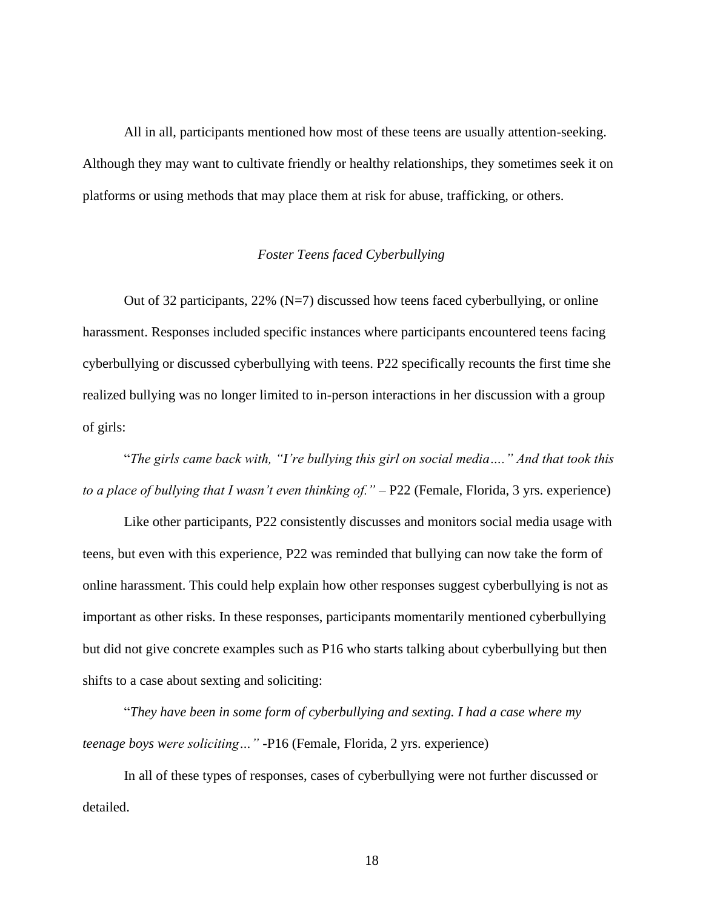All in all, participants mentioned how most of these teens are usually attention-seeking. Although they may want to cultivate friendly or healthy relationships, they sometimes seek it on platforms or using methods that may place them at risk for abuse, trafficking, or others.

#### *Foster Teens faced Cyberbullying*

<span id="page-24-0"></span>Out of 32 participants,  $22\%$  (N=7) discussed how teens faced cyberbullying, or online harassment. Responses included specific instances where participants encountered teens facing cyberbullying or discussed cyberbullying with teens. P22 specifically recounts the first time she realized bullying was no longer limited to in-person interactions in her discussion with a group of girls:

"*The girls came back with, "I're bullying this girl on social media…." And that took this to a place of bullying that I wasn't even thinking of."* – P22 (Female, Florida, 3 yrs. experience)

Like other participants, P22 consistently discusses and monitors social media usage with teens, but even with this experience, P22 was reminded that bullying can now take the form of online harassment. This could help explain how other responses suggest cyberbullying is not as important as other risks. In these responses, participants momentarily mentioned cyberbullying but did not give concrete examples such as P16 who starts talking about cyberbullying but then shifts to a case about sexting and soliciting:

"*They have been in some form of cyberbullying and sexting. I had a case where my teenage boys were soliciting…"* -P16 (Female, Florida, 2 yrs. experience)

In all of these types of responses, cases of cyberbullying were not further discussed or detailed.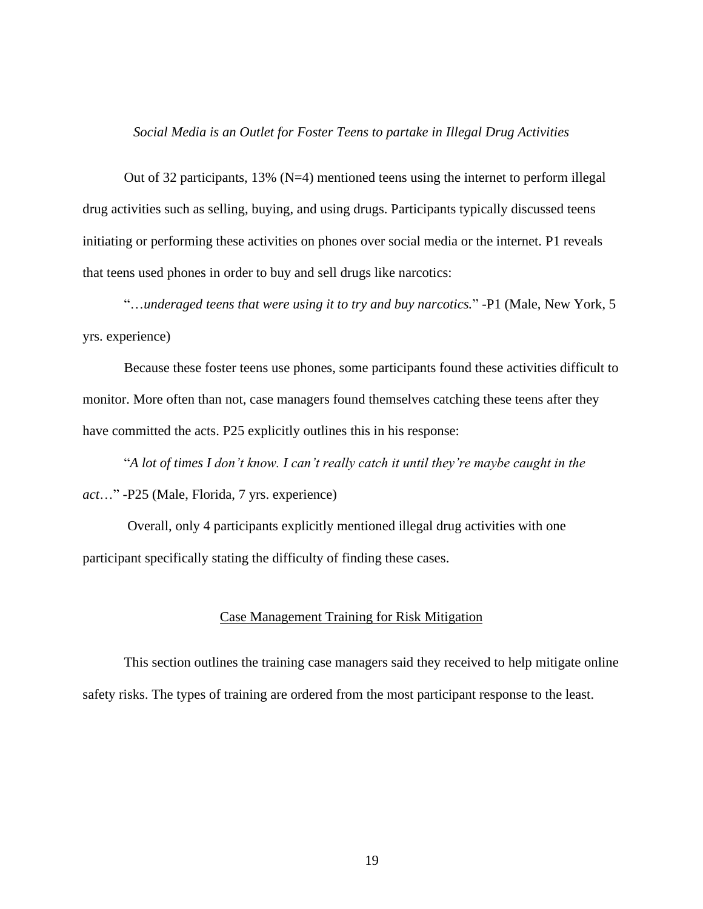#### *Social Media is an Outlet for Foster Teens to partake in Illegal Drug Activities*

<span id="page-25-0"></span>Out of 32 participants,  $13\%$  (N=4) mentioned teens using the internet to perform illegal drug activities such as selling, buying, and using drugs. Participants typically discussed teens initiating or performing these activities on phones over social media or the internet. P1 reveals that teens used phones in order to buy and sell drugs like narcotics:

"…*underaged teens that were using it to try and buy narcotics.*" -P1 (Male, New York, 5 yrs. experience)

Because these foster teens use phones, some participants found these activities difficult to monitor. More often than not, case managers found themselves catching these teens after they have committed the acts. P25 explicitly outlines this in his response:

"*A lot of times I don't know. I can't really catch it until they're maybe caught in the act*…" -P25 (Male, Florida, 7 yrs. experience)

<span id="page-25-1"></span>Overall, only 4 participants explicitly mentioned illegal drug activities with one participant specifically stating the difficulty of finding these cases.

#### Case Management Training for Risk Mitigation

This section outlines the training case managers said they received to help mitigate online safety risks. The types of training are ordered from the most participant response to the least.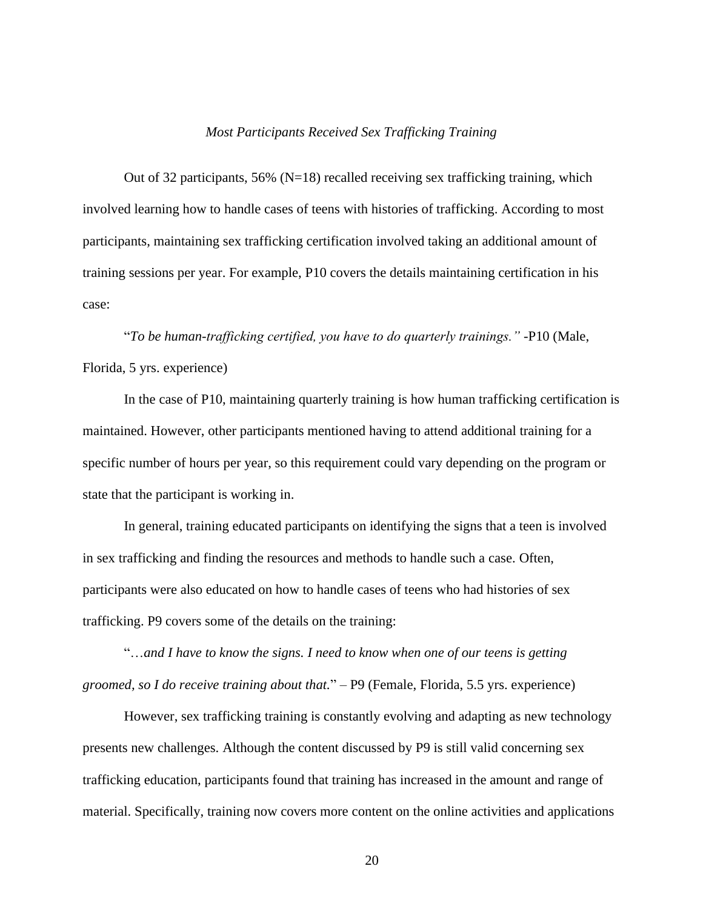#### *Most Participants Received Sex Trafficking Training*

<span id="page-26-0"></span>Out of 32 participants, 56% ( $N=18$ ) recalled receiving sex trafficking training, which involved learning how to handle cases of teens with histories of trafficking. According to most participants, maintaining sex trafficking certification involved taking an additional amount of training sessions per year. For example, P10 covers the details maintaining certification in his case:

"*To be human-trafficking certified, you have to do quarterly trainings."* -P10 (Male, Florida, 5 yrs. experience)

In the case of P10, maintaining quarterly training is how human trafficking certification is maintained. However, other participants mentioned having to attend additional training for a specific number of hours per year, so this requirement could vary depending on the program or state that the participant is working in.

In general, training educated participants on identifying the signs that a teen is involved in sex trafficking and finding the resources and methods to handle such a case. Often, participants were also educated on how to handle cases of teens who had histories of sex trafficking. P9 covers some of the details on the training:

"…*and I have to know the signs. I need to know when one of our teens is getting groomed, so I do receive training about that.*" – P9 (Female, Florida, 5.5 yrs. experience)

However, sex trafficking training is constantly evolving and adapting as new technology presents new challenges. Although the content discussed by P9 is still valid concerning sex trafficking education, participants found that training has increased in the amount and range of material. Specifically, training now covers more content on the online activities and applications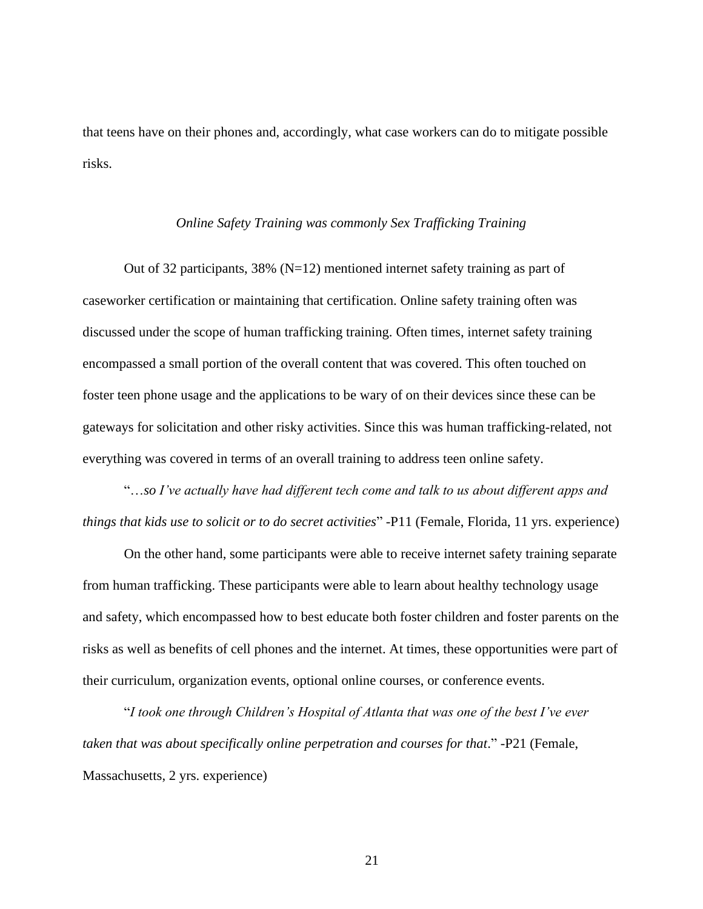<span id="page-27-0"></span>that teens have on their phones and, accordingly, what case workers can do to mitigate possible risks.

#### *Online Safety Training was commonly Sex Trafficking Training*

Out of 32 participants, 38% ( $N=12$ ) mentioned internet safety training as part of caseworker certification or maintaining that certification. Online safety training often was discussed under the scope of human trafficking training. Often times, internet safety training encompassed a small portion of the overall content that was covered. This often touched on foster teen phone usage and the applications to be wary of on their devices since these can be gateways for solicitation and other risky activities. Since this was human trafficking-related, not everything was covered in terms of an overall training to address teen online safety.

"…*so I've actually have had different tech come and talk to us about different apps and things that kids use to solicit or to do secret activities*" -P11 (Female, Florida, 11 yrs. experience)

On the other hand, some participants were able to receive internet safety training separate from human trafficking. These participants were able to learn about healthy technology usage and safety, which encompassed how to best educate both foster children and foster parents on the risks as well as benefits of cell phones and the internet. At times, these opportunities were part of their curriculum, organization events, optional online courses, or conference events.

"*I took one through Children's Hospital of Atlanta that was one of the best I've ever taken that was about specifically online perpetration and courses for that.*" -P21 (Female, Massachusetts, 2 yrs. experience)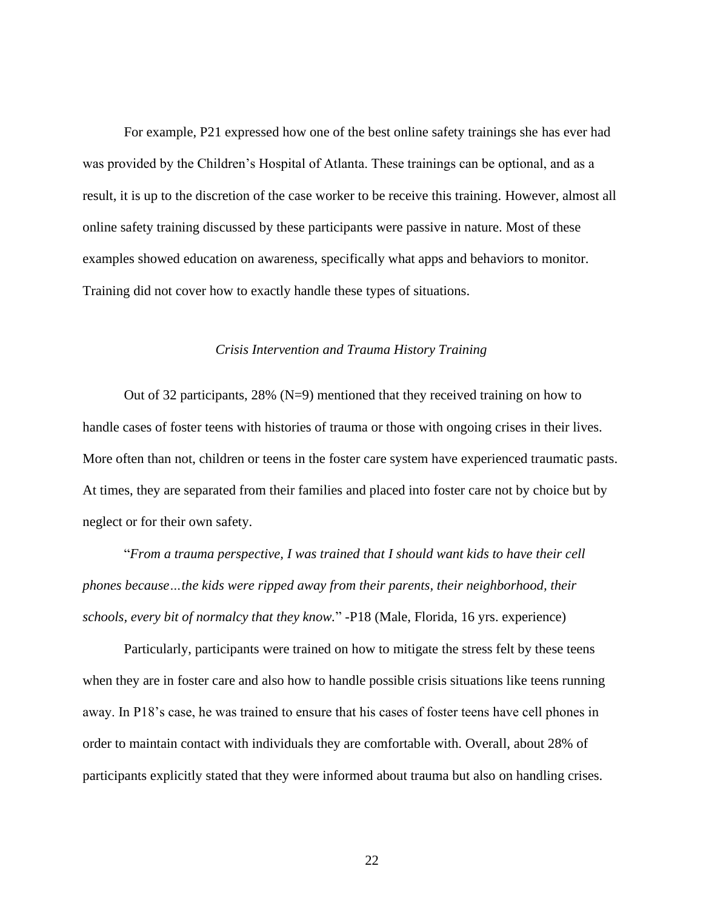For example, P21 expressed how one of the best online safety trainings she has ever had was provided by the Children's Hospital of Atlanta. These trainings can be optional, and as a result, it is up to the discretion of the case worker to be receive this training. However, almost all online safety training discussed by these participants were passive in nature. Most of these examples showed education on awareness, specifically what apps and behaviors to monitor. Training did not cover how to exactly handle these types of situations.

#### *Crisis Intervention and Trauma History Training*

<span id="page-28-0"></span>Out of 32 participants,  $28\%$  (N=9) mentioned that they received training on how to handle cases of foster teens with histories of trauma or those with ongoing crises in their lives. More often than not, children or teens in the foster care system have experienced traumatic pasts. At times, they are separated from their families and placed into foster care not by choice but by neglect or for their own safety.

"*From a trauma perspective, I was trained that I should want kids to have their cell phones because…the kids were ripped away from their parents, their neighborhood, their schools, every bit of normalcy that they know.*" -P18 (Male, Florida, 16 yrs. experience)

Particularly, participants were trained on how to mitigate the stress felt by these teens when they are in foster care and also how to handle possible crisis situations like teens running away. In P18's case, he was trained to ensure that his cases of foster teens have cell phones in order to maintain contact with individuals they are comfortable with. Overall, about 28% of participants explicitly stated that they were informed about trauma but also on handling crises.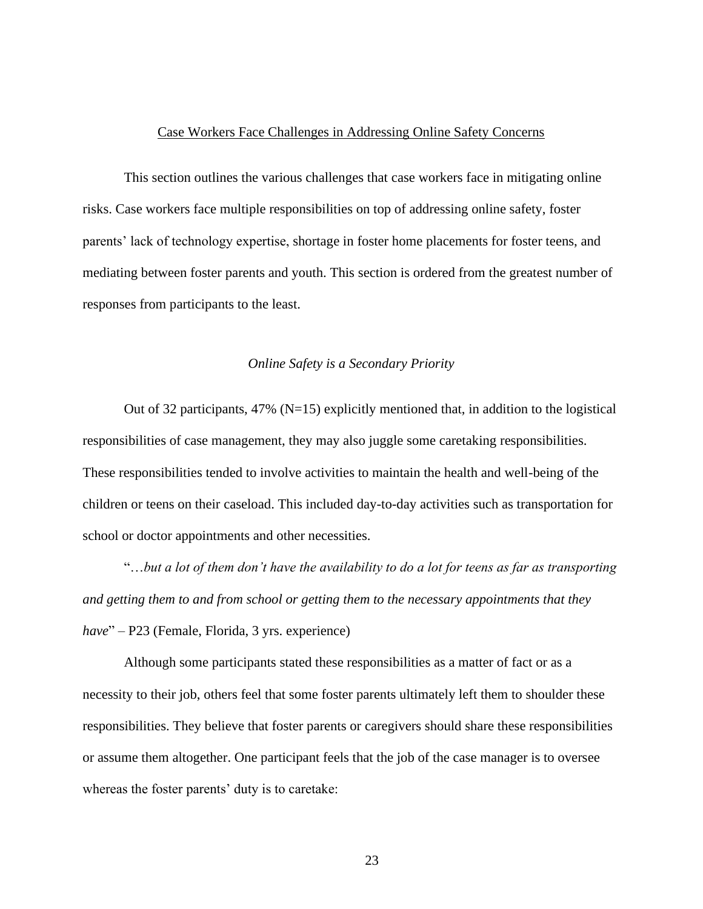#### Case Workers Face Challenges in Addressing Online Safety Concerns

<span id="page-29-0"></span>This section outlines the various challenges that case workers face in mitigating online risks. Case workers face multiple responsibilities on top of addressing online safety, foster parents' lack of technology expertise, shortage in foster home placements for foster teens, and mediating between foster parents and youth. This section is ordered from the greatest number of responses from participants to the least.

#### *Online Safety is a Secondary Priority*

<span id="page-29-1"></span>Out of 32 participants, 47% ( $N=15$ ) explicitly mentioned that, in addition to the logistical responsibilities of case management, they may also juggle some caretaking responsibilities. These responsibilities tended to involve activities to maintain the health and well-being of the children or teens on their caseload. This included day-to-day activities such as transportation for school or doctor appointments and other necessities.

"…*but a lot of them don't have the availability to do a lot for teens as far as transporting and getting them to and from school or getting them to the necessary appointments that they have*" – P23 (Female, Florida, 3 yrs. experience)

Although some participants stated these responsibilities as a matter of fact or as a necessity to their job, others feel that some foster parents ultimately left them to shoulder these responsibilities. They believe that foster parents or caregivers should share these responsibilities or assume them altogether. One participant feels that the job of the case manager is to oversee whereas the foster parents' duty is to caretake: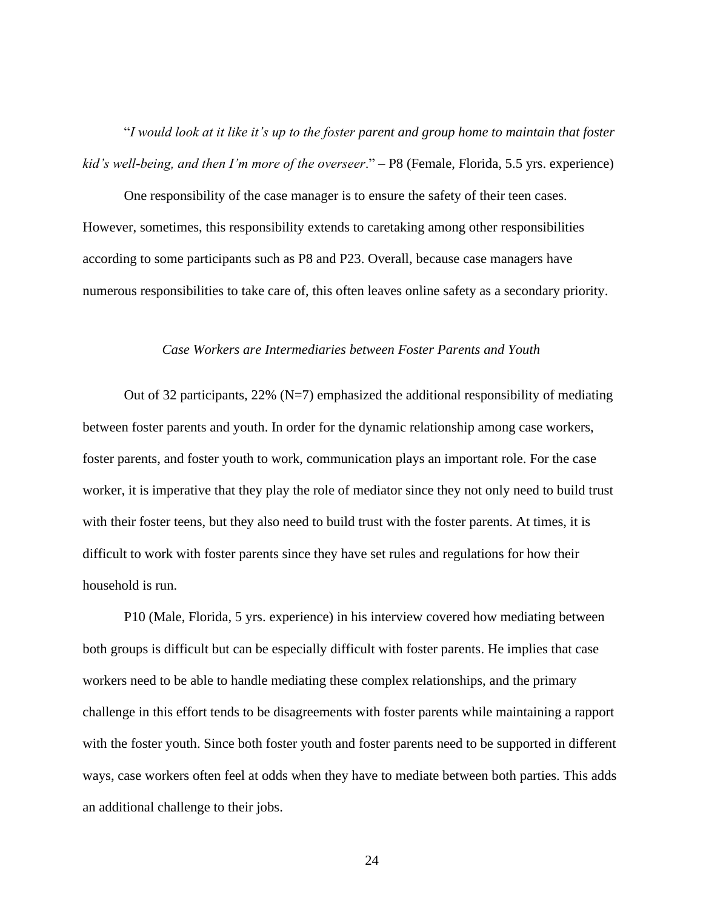"*I would look at it like it's up to the foster parent and group home to maintain that foster kid's well-being, and then I'm more of the overseer*." – P8 (Female, Florida, 5.5 yrs. experience)

One responsibility of the case manager is to ensure the safety of their teen cases. However, sometimes, this responsibility extends to caretaking among other responsibilities according to some participants such as P8 and P23. Overall, because case managers have numerous responsibilities to take care of, this often leaves online safety as a secondary priority.

#### *Case Workers are Intermediaries between Foster Parents and Youth*

<span id="page-30-0"></span>Out of 32 participants,  $22\%$  (N=7) emphasized the additional responsibility of mediating between foster parents and youth. In order for the dynamic relationship among case workers, foster parents, and foster youth to work, communication plays an important role. For the case worker, it is imperative that they play the role of mediator since they not only need to build trust with their foster teens, but they also need to build trust with the foster parents. At times, it is difficult to work with foster parents since they have set rules and regulations for how their household is run.

P10 (Male, Florida, 5 yrs. experience) in his interview covered how mediating between both groups is difficult but can be especially difficult with foster parents. He implies that case workers need to be able to handle mediating these complex relationships, and the primary challenge in this effort tends to be disagreements with foster parents while maintaining a rapport with the foster youth. Since both foster youth and foster parents need to be supported in different ways, case workers often feel at odds when they have to mediate between both parties. This adds an additional challenge to their jobs.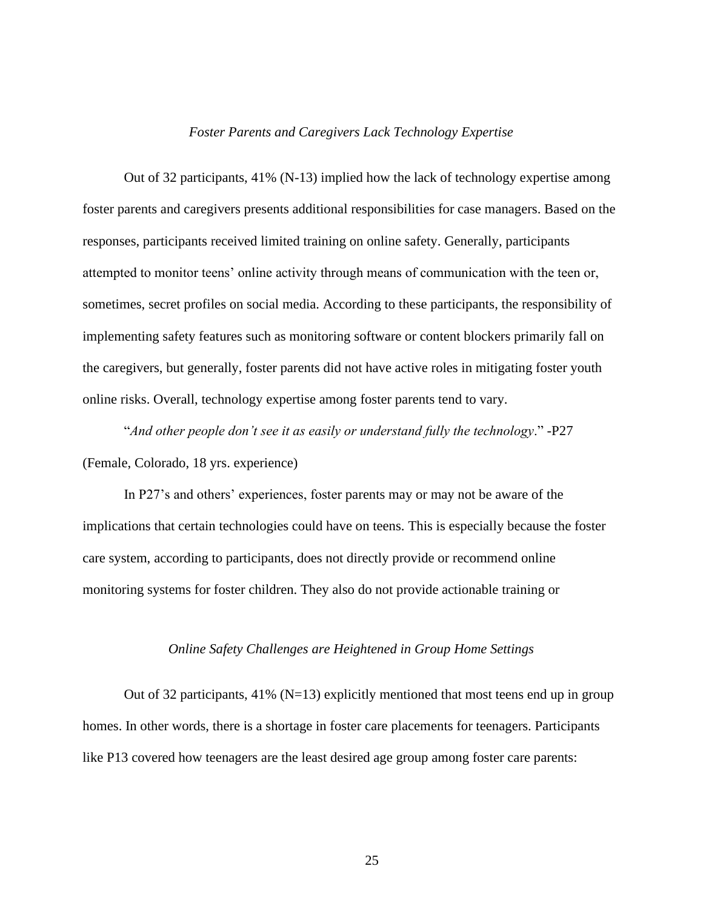#### *Foster Parents and Caregivers Lack Technology Expertise*

<span id="page-31-0"></span>Out of 32 participants, 41% (N-13) implied how the lack of technology expertise among foster parents and caregivers presents additional responsibilities for case managers. Based on the responses, participants received limited training on online safety. Generally, participants attempted to monitor teens' online activity through means of communication with the teen or, sometimes, secret profiles on social media. According to these participants, the responsibility of implementing safety features such as monitoring software or content blockers primarily fall on the caregivers, but generally, foster parents did not have active roles in mitigating foster youth online risks. Overall, technology expertise among foster parents tend to vary.

"*And other people don't see it as easily or understand fully the technology*." -P27 (Female, Colorado, 18 yrs. experience)

In P27's and others' experiences, foster parents may or may not be aware of the implications that certain technologies could have on teens. This is especially because the foster care system, according to participants, does not directly provide or recommend online monitoring systems for foster children. They also do not provide actionable training or

#### *Online Safety Challenges are Heightened in Group Home Settings*

<span id="page-31-1"></span>Out of 32 participants, 41% ( $N=13$ ) explicitly mentioned that most teens end up in group homes. In other words, there is a shortage in foster care placements for teenagers. Participants like P13 covered how teenagers are the least desired age group among foster care parents: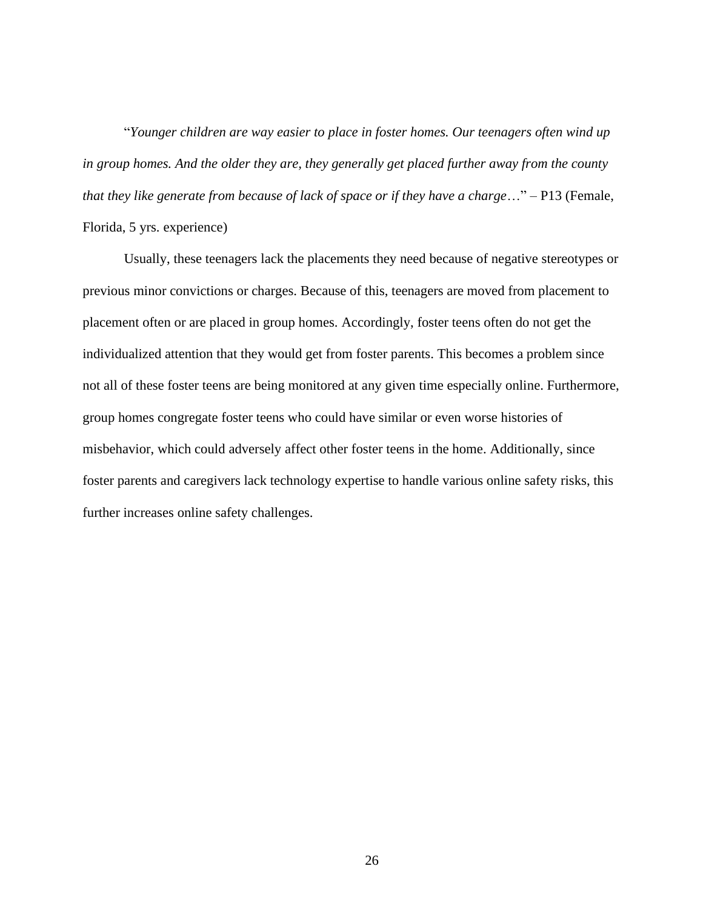"*Younger children are way easier to place in foster homes. Our teenagers often wind up in group homes. And the older they are, they generally get placed further away from the county that they like generate from because of lack of space or if they have a charge*…" – P13 (Female, Florida, 5 yrs. experience)

Usually, these teenagers lack the placements they need because of negative stereotypes or previous minor convictions or charges. Because of this, teenagers are moved from placement to placement often or are placed in group homes. Accordingly, foster teens often do not get the individualized attention that they would get from foster parents. This becomes a problem since not all of these foster teens are being monitored at any given time especially online. Furthermore, group homes congregate foster teens who could have similar or even worse histories of misbehavior, which could adversely affect other foster teens in the home. Additionally, since foster parents and caregivers lack technology expertise to handle various online safety risks, this further increases online safety challenges.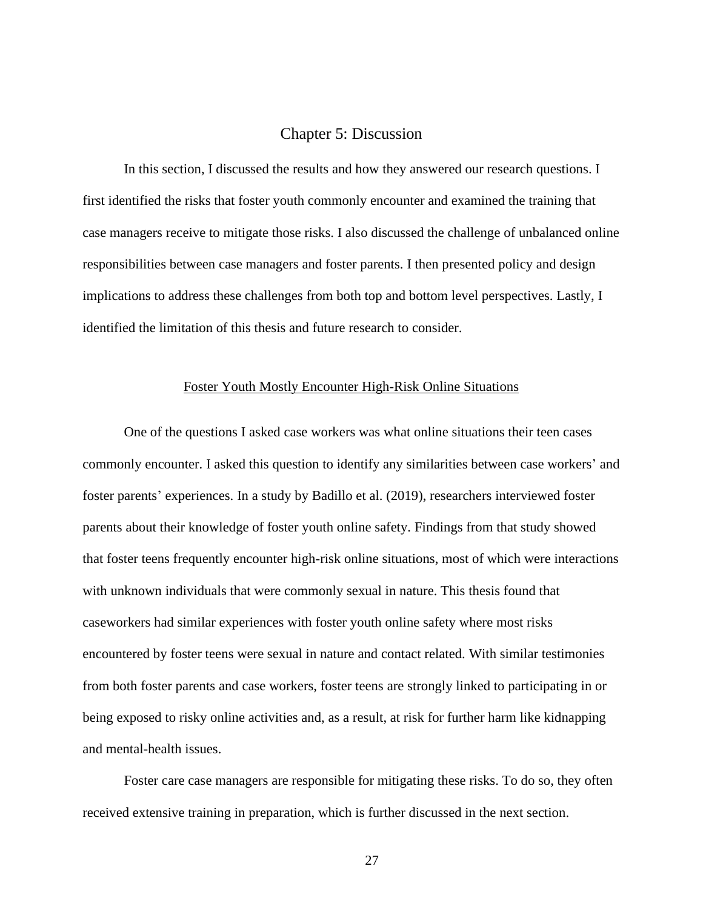#### Chapter 5: Discussion

<span id="page-33-0"></span>In this section, I discussed the results and how they answered our research questions. I first identified the risks that foster youth commonly encounter and examined the training that case managers receive to mitigate those risks. I also discussed the challenge of unbalanced online responsibilities between case managers and foster parents. I then presented policy and design implications to address these challenges from both top and bottom level perspectives. Lastly, I identified the limitation of this thesis and future research to consider.

#### Foster Youth Mostly Encounter High-Risk Online Situations

<span id="page-33-1"></span>One of the questions I asked case workers was what online situations their teen cases commonly encounter. I asked this question to identify any similarities between case workers' and foster parents' experiences. In a study by Badillo et al. (2019), researchers interviewed foster parents about their knowledge of foster youth online safety. Findings from that study showed that foster teens frequently encounter high-risk online situations, most of which were interactions with unknown individuals that were commonly sexual in nature. This thesis found that caseworkers had similar experiences with foster youth online safety where most risks encountered by foster teens were sexual in nature and contact related. With similar testimonies from both foster parents and case workers, foster teens are strongly linked to participating in or being exposed to risky online activities and, as a result, at risk for further harm like kidnapping and mental-health issues.

Foster care case managers are responsible for mitigating these risks. To do so, they often received extensive training in preparation, which is further discussed in the next section.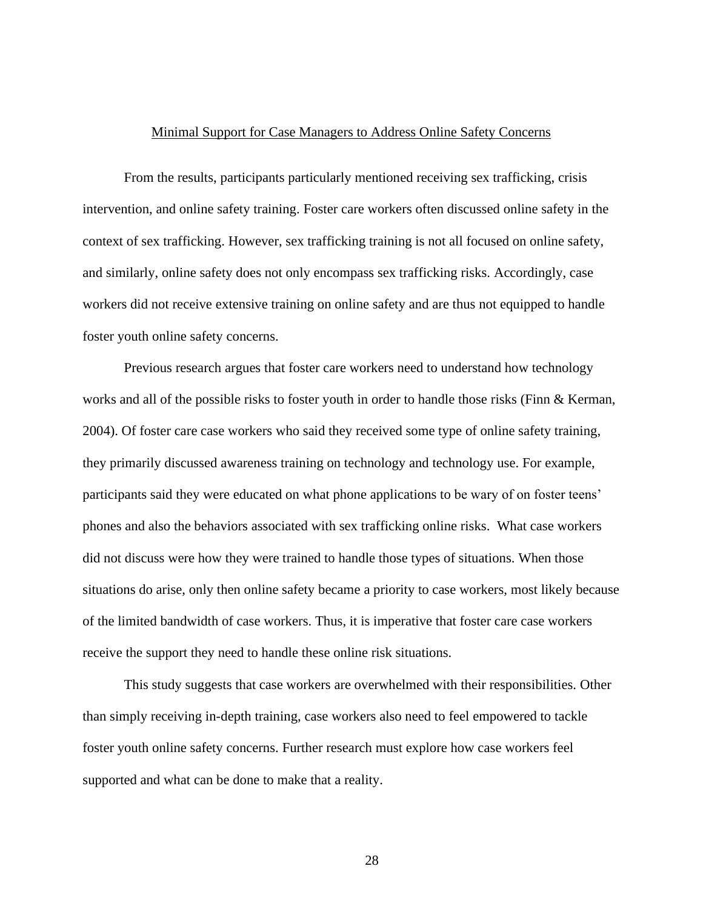#### Minimal Support for Case Managers to Address Online Safety Concerns

<span id="page-34-0"></span>From the results, participants particularly mentioned receiving sex trafficking, crisis intervention, and online safety training. Foster care workers often discussed online safety in the context of sex trafficking. However, sex trafficking training is not all focused on online safety, and similarly, online safety does not only encompass sex trafficking risks. Accordingly, case workers did not receive extensive training on online safety and are thus not equipped to handle foster youth online safety concerns.

Previous research argues that foster care workers need to understand how technology works and all of the possible risks to foster youth in order to handle those risks (Finn & Kerman, 2004). Of foster care case workers who said they received some type of online safety training, they primarily discussed awareness training on technology and technology use. For example, participants said they were educated on what phone applications to be wary of on foster teens' phones and also the behaviors associated with sex trafficking online risks. What case workers did not discuss were how they were trained to handle those types of situations. When those situations do arise, only then online safety became a priority to case workers, most likely because of the limited bandwidth of case workers. Thus, it is imperative that foster care case workers receive the support they need to handle these online risk situations.

This study suggests that case workers are overwhelmed with their responsibilities. Other than simply receiving in-depth training, case workers also need to feel empowered to tackle foster youth online safety concerns. Further research must explore how case workers feel supported and what can be done to make that a reality.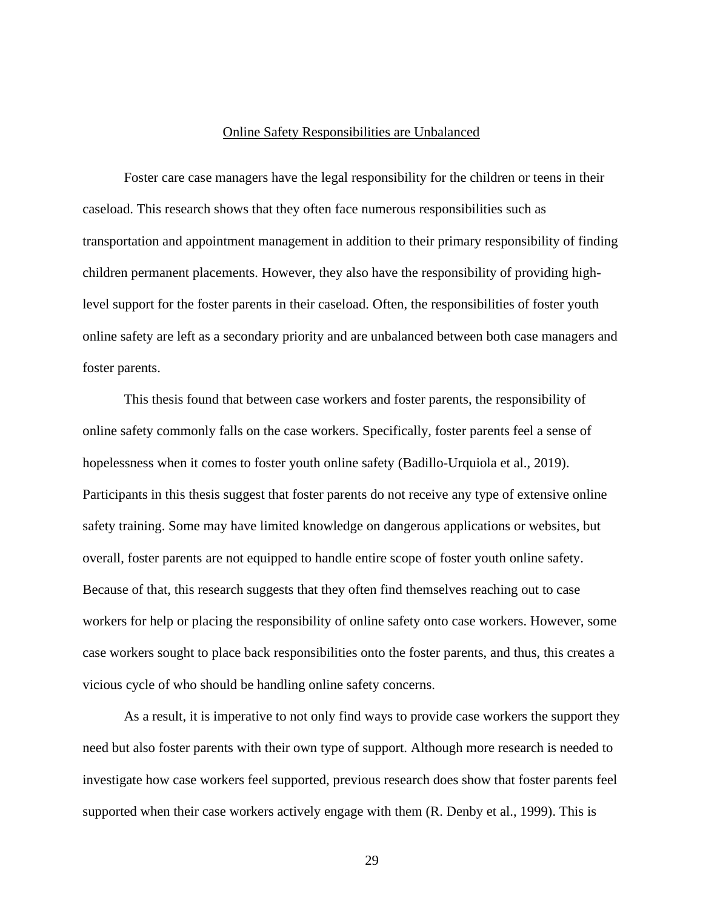#### Online Safety Responsibilities are Unbalanced

<span id="page-35-0"></span>Foster care case managers have the legal responsibility for the children or teens in their caseload. This research shows that they often face numerous responsibilities such as transportation and appointment management in addition to their primary responsibility of finding children permanent placements. However, they also have the responsibility of providing highlevel support for the foster parents in their caseload. Often, the responsibilities of foster youth online safety are left as a secondary priority and are unbalanced between both case managers and foster parents.

This thesis found that between case workers and foster parents, the responsibility of online safety commonly falls on the case workers. Specifically, foster parents feel a sense of hopelessness when it comes to foster youth online safety (Badillo-Urquiola et al., 2019). Participants in this thesis suggest that foster parents do not receive any type of extensive online safety training. Some may have limited knowledge on dangerous applications or websites, but overall, foster parents are not equipped to handle entire scope of foster youth online safety. Because of that, this research suggests that they often find themselves reaching out to case workers for help or placing the responsibility of online safety onto case workers. However, some case workers sought to place back responsibilities onto the foster parents, and thus, this creates a vicious cycle of who should be handling online safety concerns.

As a result, it is imperative to not only find ways to provide case workers the support they need but also foster parents with their own type of support. Although more research is needed to investigate how case workers feel supported, previous research does show that foster parents feel supported when their case workers actively engage with them (R. Denby et al., 1999). This is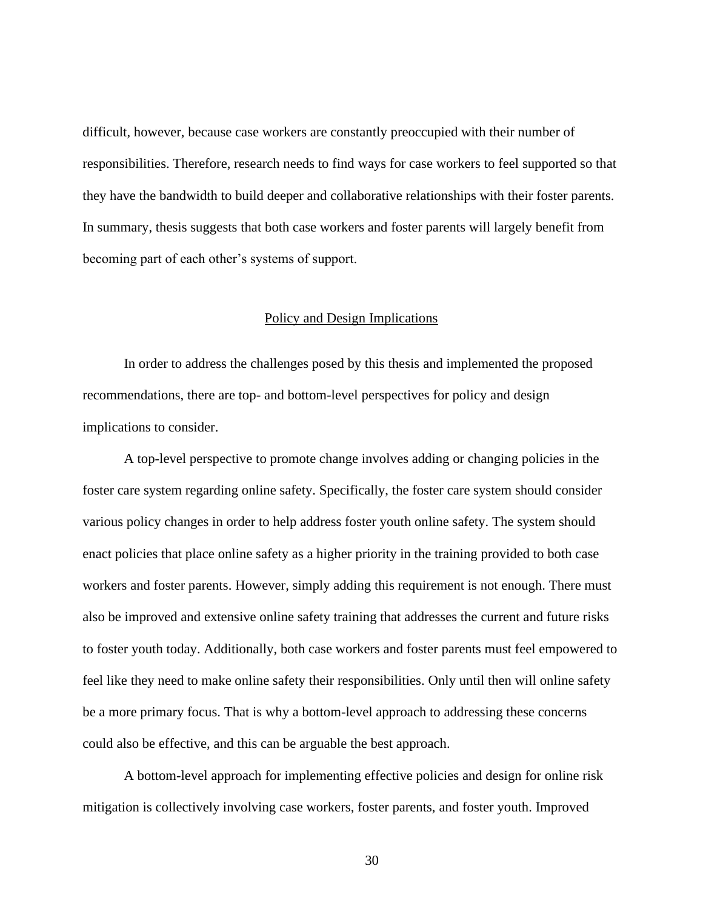difficult, however, because case workers are constantly preoccupied with their number of responsibilities. Therefore, research needs to find ways for case workers to feel supported so that they have the bandwidth to build deeper and collaborative relationships with their foster parents. In summary, thesis suggests that both case workers and foster parents will largely benefit from becoming part of each other's systems of support.

#### Policy and Design Implications

<span id="page-36-0"></span>In order to address the challenges posed by this thesis and implemented the proposed recommendations, there are top- and bottom-level perspectives for policy and design implications to consider.

A top-level perspective to promote change involves adding or changing policies in the foster care system regarding online safety. Specifically, the foster care system should consider various policy changes in order to help address foster youth online safety. The system should enact policies that place online safety as a higher priority in the training provided to both case workers and foster parents. However, simply adding this requirement is not enough. There must also be improved and extensive online safety training that addresses the current and future risks to foster youth today. Additionally, both case workers and foster parents must feel empowered to feel like they need to make online safety their responsibilities. Only until then will online safety be a more primary focus. That is why a bottom-level approach to addressing these concerns could also be effective, and this can be arguable the best approach.

A bottom-level approach for implementing effective policies and design for online risk mitigation is collectively involving case workers, foster parents, and foster youth. Improved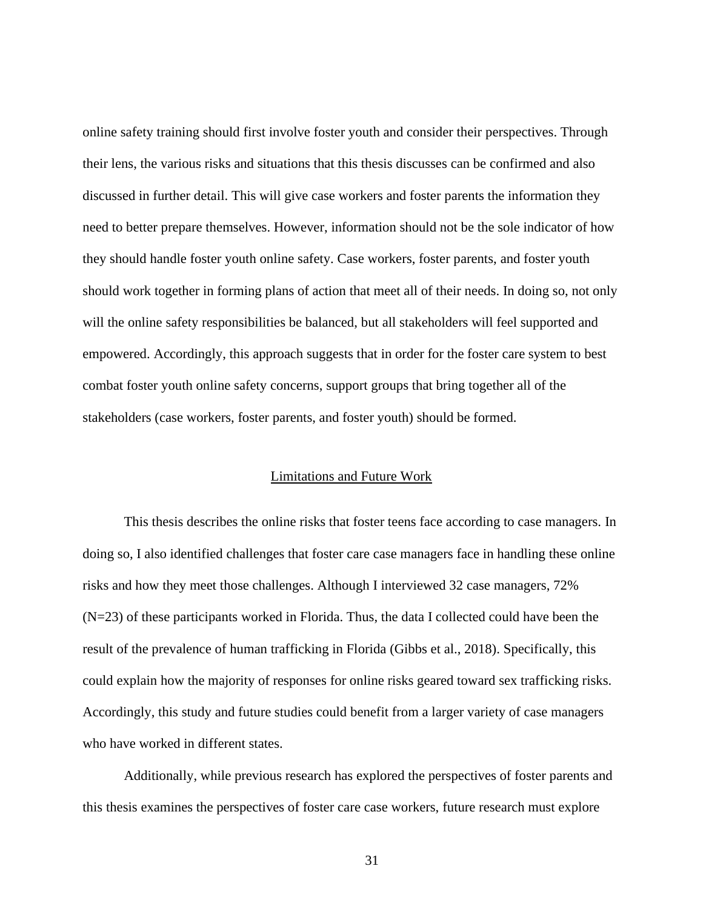online safety training should first involve foster youth and consider their perspectives. Through their lens, the various risks and situations that this thesis discusses can be confirmed and also discussed in further detail. This will give case workers and foster parents the information they need to better prepare themselves. However, information should not be the sole indicator of how they should handle foster youth online safety. Case workers, foster parents, and foster youth should work together in forming plans of action that meet all of their needs. In doing so, not only will the online safety responsibilities be balanced, but all stakeholders will feel supported and empowered. Accordingly, this approach suggests that in order for the foster care system to best combat foster youth online safety concerns, support groups that bring together all of the stakeholders (case workers, foster parents, and foster youth) should be formed.

#### Limitations and Future Work

<span id="page-37-0"></span>This thesis describes the online risks that foster teens face according to case managers. In doing so, I also identified challenges that foster care case managers face in handling these online risks and how they meet those challenges. Although I interviewed 32 case managers, 72% (N=23) of these participants worked in Florida. Thus, the data I collected could have been the result of the prevalence of human trafficking in Florida (Gibbs et al., 2018). Specifically, this could explain how the majority of responses for online risks geared toward sex trafficking risks. Accordingly, this study and future studies could benefit from a larger variety of case managers who have worked in different states.

Additionally, while previous research has explored the perspectives of foster parents and this thesis examines the perspectives of foster care case workers, future research must explore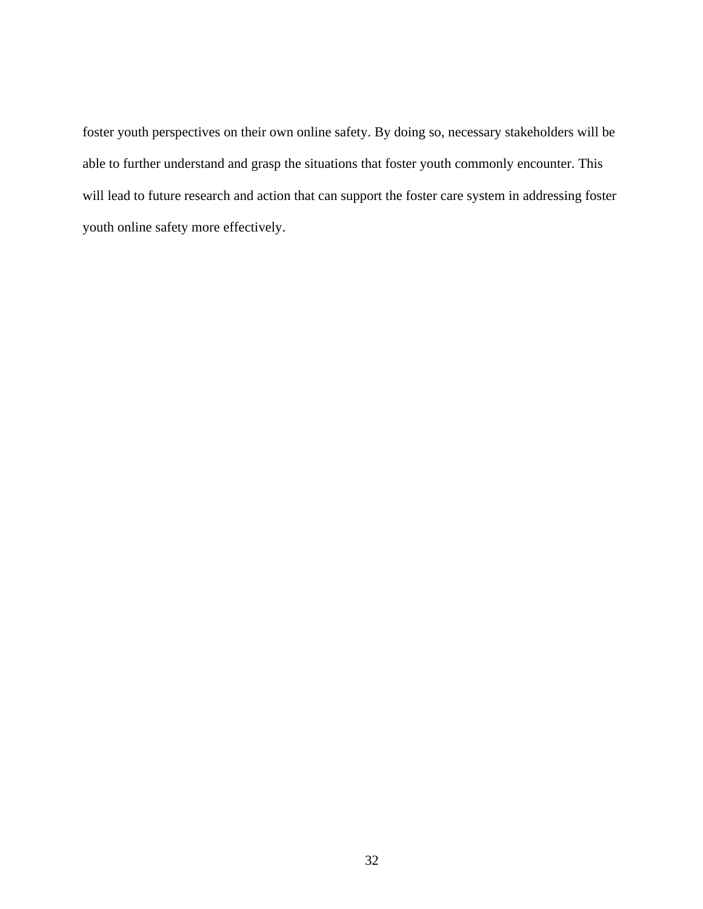foster youth perspectives on their own online safety. By doing so, necessary stakeholders will be able to further understand and grasp the situations that foster youth commonly encounter. This will lead to future research and action that can support the foster care system in addressing foster youth online safety more effectively.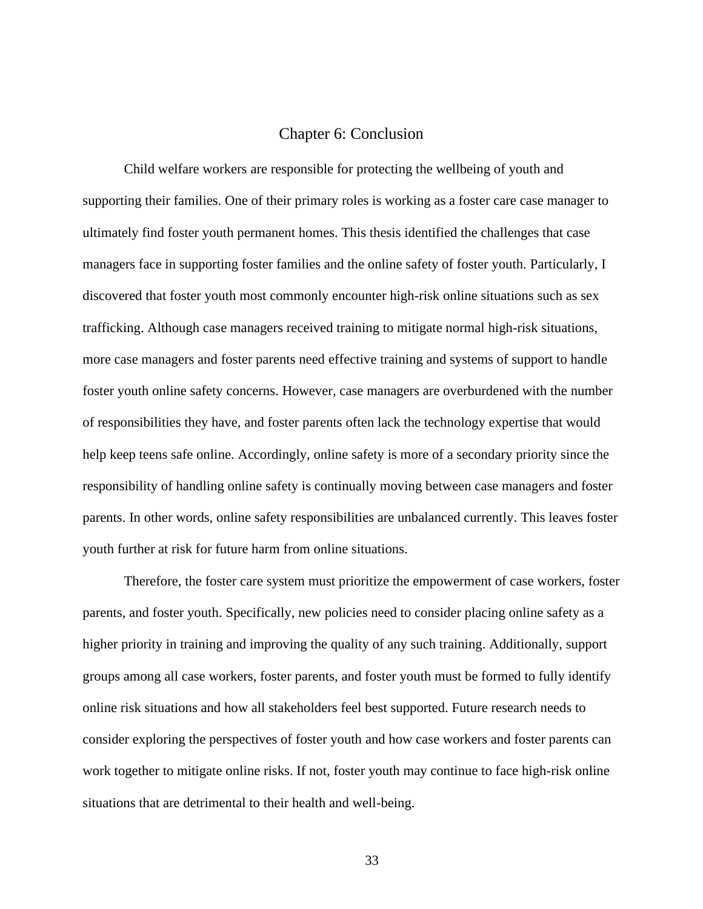#### Chapter 6: Conclusion

<span id="page-39-0"></span>Child welfare workers are responsible for protecting the wellbeing of youth and supporting their families. One of their primary roles is working as a foster care case manager to ultimately find foster youth permanent homes. This thesis identified the challenges that case managers face in supporting foster families and the online safety of foster youth. Particularly, I discovered that foster youth most commonly encounter high-risk online situations such as sex trafficking. Although case managers received training to mitigate normal high-risk situations, more case managers and foster parents need effective training and systems of support to handle foster youth online safety concerns. However, case managers are overburdened with the number of responsibilities they have, and foster parents often lack the technology expertise that would help keep teens safe online. Accordingly, online safety is more of a secondary priority since the responsibility of handling online safety is continually moving between case managers and foster parents. In other words, online safety responsibilities are unbalanced currently. This leaves foster youth further at risk for future harm from online situations.

Therefore, the foster care system must prioritize the empowerment of case workers, foster parents, and foster youth. Specifically, new policies need to consider placing online safety as a higher priority in training and improving the quality of any such training. Additionally, support groups among all case workers, foster parents, and foster youth must be formed to fully identify online risk situations and how all stakeholders feel best supported. Future research needs to consider exploring the perspectives of foster youth and how case workers and foster parents can work together to mitigate online risks. If not, foster youth may continue to face high-risk online situations that are detrimental to their health and well-being.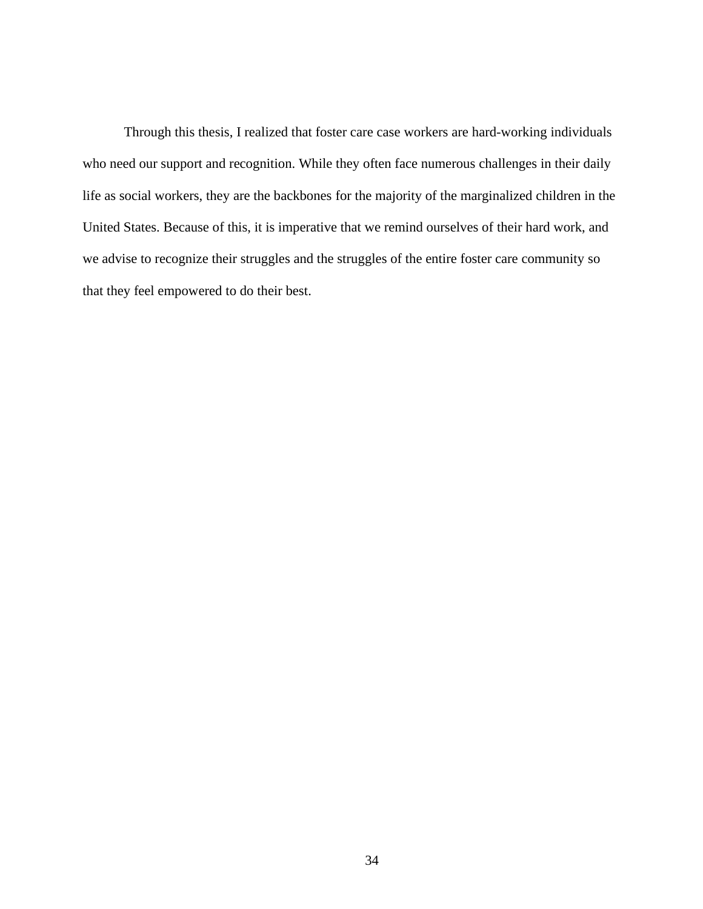Through this thesis, I realized that foster care case workers are hard-working individuals who need our support and recognition. While they often face numerous challenges in their daily life as social workers, they are the backbones for the majority of the marginalized children in the United States. Because of this, it is imperative that we remind ourselves of their hard work, and we advise to recognize their struggles and the struggles of the entire foster care community so that they feel empowered to do their best.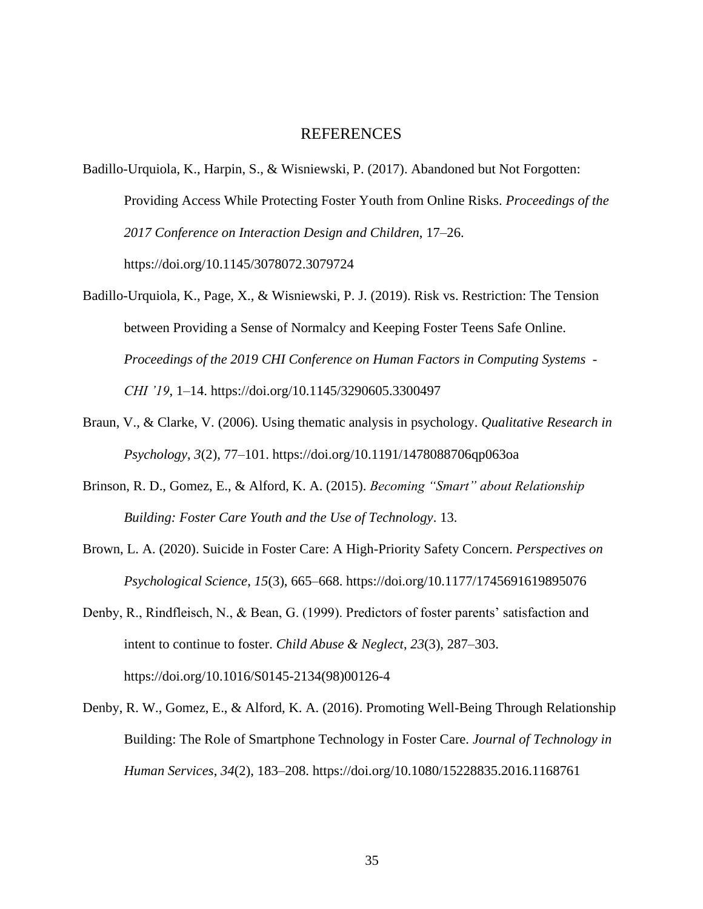#### REFERENCES

- <span id="page-41-0"></span>Badillo-Urquiola, K., Harpin, S., & Wisniewski, P. (2017). Abandoned but Not Forgotten: Providing Access While Protecting Foster Youth from Online Risks. *Proceedings of the 2017 Conference on Interaction Design and Children*, 17–26. https://doi.org/10.1145/3078072.3079724
- Badillo-Urquiola, K., Page, X., & Wisniewski, P. J. (2019). Risk vs. Restriction: The Tension between Providing a Sense of Normalcy and Keeping Foster Teens Safe Online. *Proceedings of the 2019 CHI Conference on Human Factors in Computing Systems - CHI '19*, 1–14. https://doi.org/10.1145/3290605.3300497
- Braun, V., & Clarke, V. (2006). Using thematic analysis in psychology. *Qualitative Research in Psychology*, *3*(2), 77–101. https://doi.org/10.1191/1478088706qp063oa
- Brinson, R. D., Gomez, E., & Alford, K. A. (2015). *Becoming "Smart" about Relationship Building: Foster Care Youth and the Use of Technology*. 13.
- Brown, L. A. (2020). Suicide in Foster Care: A High-Priority Safety Concern. *Perspectives on Psychological Science*, *15*(3), 665–668. https://doi.org/10.1177/1745691619895076
- Denby, R., Rindfleisch, N., & Bean, G. (1999). Predictors of foster parents' satisfaction and intent to continue to foster. *Child Abuse & Neglect*, *23*(3), 287–303. https://doi.org/10.1016/S0145-2134(98)00126-4
- Denby, R. W., Gomez, E., & Alford, K. A. (2016). Promoting Well-Being Through Relationship Building: The Role of Smartphone Technology in Foster Care. *Journal of Technology in Human Services*, *34*(2), 183–208. https://doi.org/10.1080/15228835.2016.1168761